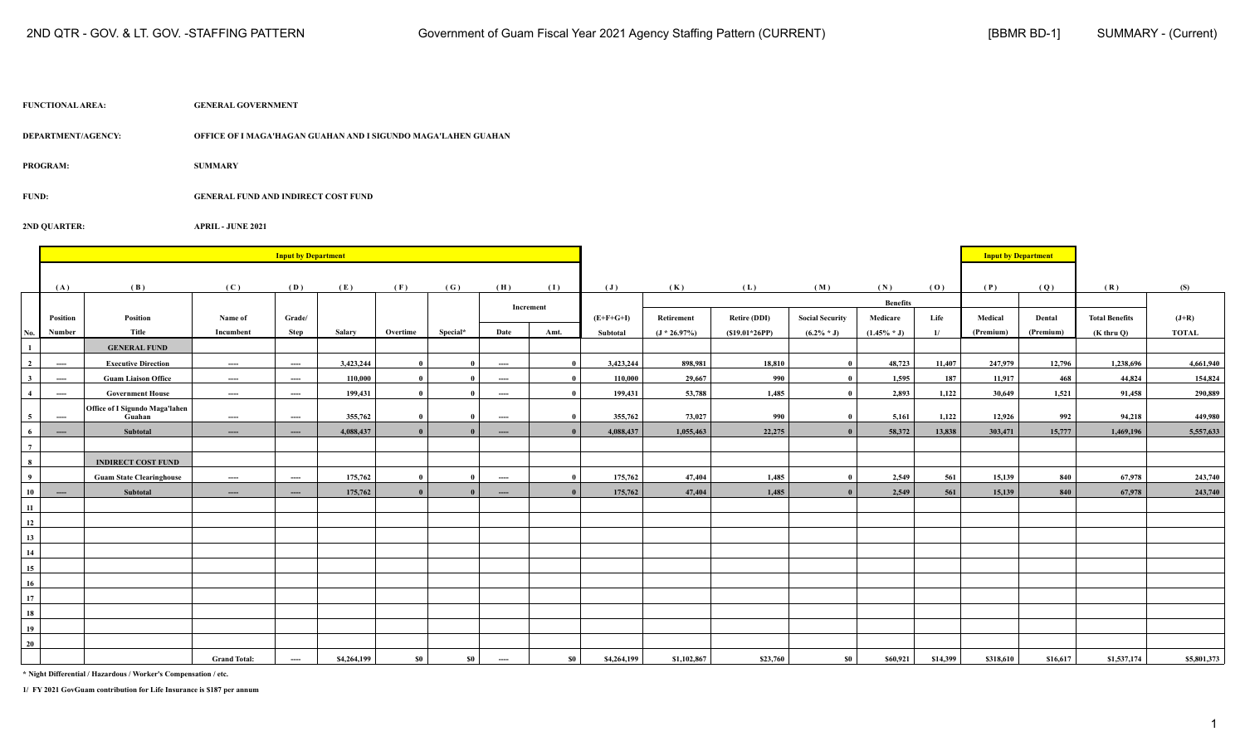| <b>FUNCTIONAL AREA:</b> | <b>GENERAL GOVERNMENT</b> |
|-------------------------|---------------------------|
|                         |                           |

**DEPARTMENT/AGENCY: OFFICE OF I MAGA'HAGAN GUAHAN AND I SIGUNDO MAGA'LAHEN GUAHAN**

**PROGRAM: SUMMARY**

**FUND: GENERAL FUND AND INDIRECT COST FUND**

**2ND QUARTER: APRIL - JUNE 2021**

|                         |                                          |                                          |                     | <b>Input by Department</b>               |             |                |              |                         |              |                |                 |                     |                        |                 |          | <b>Input by Department</b> |           |                       |              |
|-------------------------|------------------------------------------|------------------------------------------|---------------------|------------------------------------------|-------------|----------------|--------------|-------------------------|--------------|----------------|-----------------|---------------------|------------------------|-----------------|----------|----------------------------|-----------|-----------------------|--------------|
|                         | (A)                                      | (B)                                      | (C)                 | (D)                                      | (E)         | (F)            | (G)          | (H)                     | (I)          | $(\mathbf{J})$ | (K)             | (L)                 | (M)                    | (N)             | (0)      | (P)                        | (Q)       | (R)                   | (S)          |
|                         |                                          |                                          |                     |                                          |             |                |              |                         |              |                |                 |                     |                        | <b>Benefits</b> |          |                            |           |                       |              |
|                         | Position                                 | Position                                 | Name of             | Grade/                                   |             |                |              |                         | Increment    | $(E+F+G+I)$    | Retirement      | <b>Retire (DDI)</b> | <b>Social Security</b> | Medicare        | Life     | Medical                    | Dental    | <b>Total Benefits</b> | $(J+R)$      |
| No.                     | Number                                   | Title                                    | Incumbent           | Step                                     | Salary      | Overtime       | Special*     | Date                    | Amt.         | Subtotal       | $(J * 26.97\%)$ | $(S19.01*26PP)$     | $(6.2\% * J)$          | $(1.45\% * J)$  | 1/       | (Premium)                  | (Premium) | $(K$ thru $Q$ )       | <b>TOTAL</b> |
| $\mathbf{1}$            |                                          | <b>GENERAL FUND</b>                      |                     |                                          |             |                |              |                         |              |                |                 |                     |                        |                 |          |                            |           |                       |              |
| $\overline{\mathbf{2}}$ | $\qquad \qquad \cdots$                   | <b>Executive Direction</b>               | ----                | $\hspace{0.05cm} \ldots \hspace{0.05cm}$ | 3,423,244   | $\mathbf{0}$   | $\mathbf{0}$ | ----                    | $\mathbf{0}$ | 3,423,244      | 898,981         | 18,810              | $\mathbf{0}$           | 48,723          | 11,407   | 247,979                    | 12,796    | 1,238,696             | 4,661,940    |
| $\mathbf{3}$            | ----                                     | <b>Guam Liaison Office</b>               | ----                | ----                                     | 110,000     |                |              | ----                    | $\mathbf{0}$ | 110,000        | 29,667          | 990                 | $\theta$               | 1,595           | 187      | 11,917                     | 468       | 44,824                | 154,824      |
| $\overline{4}$          | $---$                                    | <b>Government House</b>                  | ----                | ----                                     | 199,431     | - 0            | $\mathbf{0}$ | ----                    | $\mathbf{0}$ | 199,431        | 53,788          | 1,485               | $\theta$               | 2,893           | 1,122    | 30,649                     | 1,521     | 91,458                | 290,889      |
| 5 <sup>1</sup>          | $\hspace{0.05cm} \ldots \hspace{0.05cm}$ | Office of I Sigundo Maga'lahen<br>Guahan | ----                | $\hspace{0.05cm} \ldots \hspace{0.05cm}$ | 355,762     | $\mathbf{0}$   | $\mathbf{0}$ | ----                    | $\mathbf{0}$ | 355,762        | 73,027          | 990                 | $\mathbf{0}$           | 5,161           | 1,122    | 12,926                     | 992       | 94,218                | 449,980      |
| 6                       | $---$                                    | Subtotal                                 | $---$               | $\cdots$                                 | 4,088,437   | $\overline{0}$ | $\mathbf{0}$ | $\cdots$                |              | 4,088,437      | 1,055,463       | 22,275              | $\theta$               | 58,372          | 13,838   | 303,471                    | 15,777    | 1,469,196             | 5,557,633    |
| $\overline{7}$          |                                          |                                          |                     |                                          |             |                |              |                         |              |                |                 |                     |                        |                 |          |                            |           |                       |              |
| $\bf8$                  |                                          | <b>INDIRECT COST FUND</b>                |                     |                                          |             |                |              |                         |              |                |                 |                     |                        |                 |          |                            |           |                       |              |
| $\overline{9}$          |                                          | <b>Guam State Clearinghouse</b>          | ----                | $\qquad \qquad - \qquad -$               | 175,762     | - 0            | - 0          | ----                    | $\mathbf{0}$ | 175,762        | 47,404          | 1,485               | - 0                    | 2,549           | 561      | 15,139                     | 840       | 67,978                | 243,740      |
| 10                      | $---$                                    | Subtotal                                 | $\cdots$            | $\cdots$                                 | 175,762     |                |              | $\cdots$                |              | 175,762        | 47,404          | 1,485               |                        | 2,549           | 561      | 15,139                     | 840       | 67,978                | 243,740      |
| 11                      |                                          |                                          |                     |                                          |             |                |              |                         |              |                |                 |                     |                        |                 |          |                            |           |                       |              |
| 12                      |                                          |                                          |                     |                                          |             |                |              |                         |              |                |                 |                     |                        |                 |          |                            |           |                       |              |
| 13                      |                                          |                                          |                     |                                          |             |                |              |                         |              |                |                 |                     |                        |                 |          |                            |           |                       |              |
| 14                      |                                          |                                          |                     |                                          |             |                |              |                         |              |                |                 |                     |                        |                 |          |                            |           |                       |              |
| 15                      |                                          |                                          |                     |                                          |             |                |              |                         |              |                |                 |                     |                        |                 |          |                            |           |                       |              |
| 16                      |                                          |                                          |                     |                                          |             |                |              |                         |              |                |                 |                     |                        |                 |          |                            |           |                       |              |
| 17                      |                                          |                                          |                     |                                          |             |                |              |                         |              |                |                 |                     |                        |                 |          |                            |           |                       |              |
| 18                      |                                          |                                          |                     |                                          |             |                |              |                         |              |                |                 |                     |                        |                 |          |                            |           |                       |              |
| 19                      |                                          |                                          |                     |                                          |             |                |              |                         |              |                |                 |                     |                        |                 |          |                            |           |                       |              |
| 20                      |                                          |                                          |                     |                                          |             |                |              |                         |              |                |                 |                     |                        |                 |          |                            |           |                       |              |
|                         |                                          |                                          | <b>Grand Total:</b> | ----                                     | \$4,264,199 | <b>SO</b>      | $\$0$        | $\hspace{0.05cm}\ldots$ | $\$0$        | \$4,264,199    | \$1,102,867     | \$23,760            | <b>SO</b>              | \$60,921        | \$14,399 | \$318,610                  | \$16,617  | \$1,537,174           | \$5,801,373  |

**\* Night Differential / Hazardous / Worker's Compensation / etc.**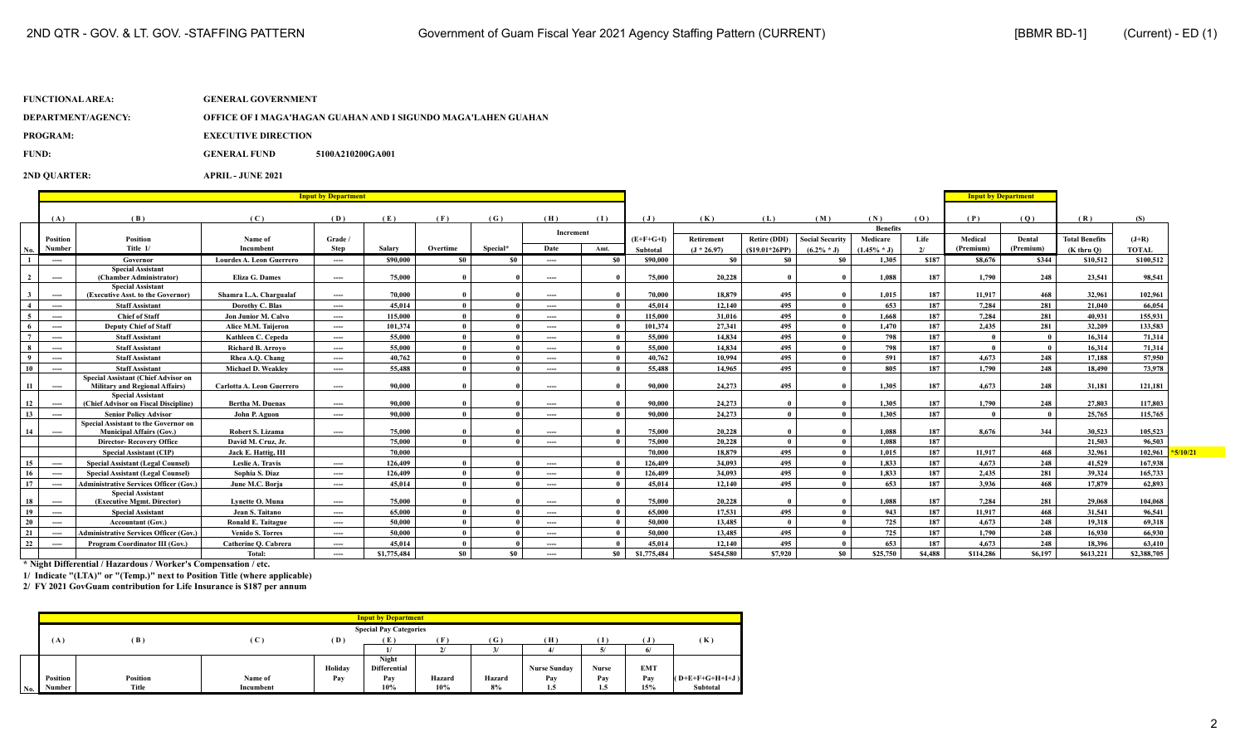| DEPARTMENT/AGENCY: | OFFICE OF I MAGA'HAGAN GUAHAN AND I SIGUNDO MAGA'LAHEN GUAHAN |
|--------------------|---------------------------------------------------------------|
|                    |                                                               |

**PROGRAM:** EXECUTIVE DIRECTION

**FUND: GENERAL FUND 5100A210200GA001**

**2ND QUARTER: APRIL - JUNE 2021**

|                         |                                          |                                                                                     | <b>Input by Department</b>       |          |             |              |          |           |       |                | <b>Input by Department</b> |                     |                        |                 |         |           |           |                       |              |  |
|-------------------------|------------------------------------------|-------------------------------------------------------------------------------------|----------------------------------|----------|-------------|--------------|----------|-----------|-------|----------------|----------------------------|---------------------|------------------------|-----------------|---------|-----------|-----------|-----------------------|--------------|--|
|                         |                                          |                                                                                     |                                  |          |             |              |          |           |       |                |                            |                     |                        |                 |         |           |           |                       |              |  |
|                         | (A)                                      | (B)                                                                                 | (C)                              | (D)      | (E)         | (F)          | (G)      | (H)       | (1)   | $(\mathbf{J})$ | (K)                        | (L)                 | (M)                    | (N)             | (0)     | (P)       | (0)       | (R)                   | (S)          |  |
|                         |                                          |                                                                                     |                                  |          |             |              |          | Increment |       |                |                            |                     |                        | <b>Benefits</b> |         |           |           |                       |              |  |
|                         | Position                                 | Position                                                                            | Name of                          | Grade /  |             |              |          |           |       | $(E+F+G+I)$    | Retirement                 | <b>Retire (DDI)</b> | <b>Social Security</b> | Medicare        | Life    | Medical   | Dental    | <b>Total Benefits</b> | $(J+R)$      |  |
| No.                     | Number                                   | Title 1/                                                                            | Incumbent                        | Step     | Salary      | Overtime     | Special* | Date      | Amt.  | Subtotal       | $(J * 26.97)$              | $(S19.01*26PP)$     | $(6.2\% * J)$          | $(1.45\% * J)$  | 2/      | (Premium) | (Premium) | $(K$ thru $O$         | <b>TOTAL</b> |  |
|                         | $---$                                    | Governor                                                                            | <b>Lourdes A. Leon Guerrero</b>  | $---$    | \$90,000    | \$0          | S0       | ----      | - \$0 | \$90,000       | <b>SO</b>                  | S0                  | <b>SO</b>              | 1,305           | \$187   | \$8,676   | \$344     | \$10,512              | \$100,512    |  |
| $\overline{2}$          | $---$                                    | <b>Special Assistant</b><br>(Chamber Administrator)                                 | <b>Eliza G. Dames</b>            | $\cdots$ | 75,000      |              |          | $---$     |       | 75,000         | 20,228                     |                     |                        | 1.088           | 187     | 1.790     | 248       | 23,541                | 98.541       |  |
| $\overline{\mathbf{3}}$ | $---$                                    | <b>Special Assistant</b><br>(Executive Asst. to the Governor)                       | Shamra L.A. Chargualaf           | ----     | 70,000      |              |          | ----      |       | 70.000         | 18,879                     | 495                 | $\theta$               | 1.015           | 187     | 11.917    | 468       | 32.961                | 102.961      |  |
| $\overline{4}$          | $\hspace{0.05cm} \ldots \hspace{0.05cm}$ | <b>Staff Assistant</b>                                                              | Dorothy C. Blas                  | ----     | 45.014      | $\mathbf{0}$ |          | ----      |       | 45,014         | 12,140                     | 495                 | $\theta$               | 653             | 187     | 7.284     | 281       | 21,040                | 66,054       |  |
| 5                       | $---$                                    | <b>Chief of Staff</b>                                                               | Jon Junior M. Calvo              | ----     | 115,000     | $\mathbf{0}$ |          | $---$     |       | 115,000        | 31,016                     | 495                 | $\mathbf{u}$           | 1.668           | 187     | 7.284     | 281       | 40,931                | 155,931      |  |
| - 6                     | $---$                                    | <b>Deputy Chief of Staff</b>                                                        | Alice M.M. Taijeron              | $\cdots$ | 101.374     | $\mathbf{0}$ |          | $---$     |       | 101,374        | 27,341                     | 495                 |                        | 1.470           | 187     | 2.435     | 281       | 32,209                | 133,583      |  |
| $7\phantom{.0}$         | $\qquad \qquad \cdots$                   | <b>Staff Assistant</b>                                                              | Kathleen C. Cepeda               | ----     | 55,000      | $\theta$     |          | $---$     |       | 55,000         | 14,834                     | 495                 |                        | 798             | 187     |           |           | 16,314                | 71,314       |  |
| 8                       | $---$                                    | <b>Staff Assistant</b>                                                              | <b>Richard B. Arrovo</b>         | $---$    | 55,000      | $\mathbf{0}$ |          | $---$     |       | 55,000         | 14,834                     | 495                 |                        | 798             | 187     |           |           | 16,314                | 71,314       |  |
| $\overline{9}$          | $\cdots$                                 | <b>Staff Assistant</b>                                                              | Rhea A.O. Chang                  | $\cdots$ | 40,762      | $\mathbf{0}$ |          | $---$     |       | 40,762         | 10.994                     | 495                 |                        | 591             | 187     | 4.673     | 248       | 17.188                | 57,950       |  |
| 10                      | $---$                                    | <b>Staff Assistant</b>                                                              | Michael D. Weakley               | $\cdots$ | 55,488      |              |          | $---$     |       | 55,488         | 14,965                     | 495                 |                        | 805             | 187     | 1,790     | 248       | 18,490                | 73,978       |  |
| -11                     | $---$                                    | <b>Special Assistant (Chief Advisor on</b><br><b>Military and Regional Affairs)</b> | <b>Carlotta A. Leon Guerrero</b> | $---$    | 90.000      |              |          | $---$     |       | 90.000         | 24,273                     | 495                 |                        | 1.305           | 187     | 4.673     | 248       | 31,181                | 121,181      |  |
| <b>12</b>               | $---$                                    | <b>Special Assistant</b><br>(Chief Advisor on Fiscal Discipline)                    | <b>Bertha M. Duenas</b>          | $\cdots$ | 90.000      |              |          | ----      |       | 90,000         | 24,273                     |                     |                        | 1.305           | 187     | 1.790     | 248       | 27,803                | 117,803      |  |
| <b>13</b>               | $---$                                    | <b>Senior Policy Advisor</b>                                                        | John P. Aguon                    | ----     | 90.000      | $\mathbf{a}$ |          | $---$     |       | 90,000         | 24,273                     |                     |                        | 1.305           | 187     |           |           | 25,765                | 115,765      |  |
| <b>14</b>               | $---$                                    | Special Assistant to the Governor on<br><b>Municipal Affairs (Gov.)</b>             | <b>Robert S. Lizama</b>          | $\cdots$ | 75,000      |              |          | $---$     |       | 75,000         | 20,228                     |                     |                        | 1.088           | 187     | 8,676     | 344       | 30,523                | 105,523      |  |
|                         |                                          | <b>Director-Recovery Office</b>                                                     | David M. Cruz, Jr.               |          | 75,000      | $\mathbf{0}$ |          | $---$     |       | 75,000         | 20,228                     |                     |                        | 1.088           | 187     |           |           | 21.503                | 96,503       |  |
|                         |                                          | <b>Special Assistant (CIP)</b>                                                      | Jack E. Hattig, III              |          | 70,000      |              |          |           |       | 70,000         | 18,879                     | 495                 |                        | 1.015           | 187     | 11.917    | 468       | 32,961                | 102,961      |  |
| 15                      | $---$                                    | <b>Special Assistant (Legal Counsel)</b>                                            | Leslie A. Travis                 | ----     | 126,409     |              |          | $---$     |       | 126,409        | 34,093                     | 495                 | $\theta$               | 1,833           | 187     | 4,673     | 248       | 41,529                | 167,938      |  |
| <sup>16</sup>           | $---$                                    | <b>Special Assistant (Legal Counsel)</b>                                            | Sophia S. Diaz                   | ----     | 126,409     | $\mathbf{0}$ |          | $---$     |       | 126,409        | 34,093                     | 495                 | $\theta$               | 1.833           | 187     | 2.435     | 281       | 39,324                | 165,733      |  |
| 17                      | $---$                                    | <b>Administrative Services Officer (Gov.)</b>                                       | June M.C. Boria                  | ----     | 45.014      | $\mathbf{0}$ |          | $---$     |       | 45.014         | 12,140                     | 495                 |                        | 653             | 187     | 3.936     | 468       | 17,879                | 62.893       |  |
| 18                      | $\cdots$                                 | <b>Special Assistant</b><br>(Executive Mgmt. Director)                              | Lynette O. Muna                  | $\cdots$ | 75,000      |              |          | $---$     |       | 75,000         | 20,228                     |                     |                        | 1.088           | 187     | 7.284     | 281       | 29,068                | 104.068      |  |
| 19                      | $\cdots$                                 | <b>Special Assistant</b>                                                            | Jean S. Taitano                  | $\cdots$ | 65,000      | $\mathbf{0}$ |          | $---$     |       | 65,000         | 17,531                     | 495                 | - 0                    | 943             | 187     | 11.917    | 468       | 31,541                | 96.541       |  |
| 20                      | $\cdots$                                 | <b>Accountant (Gov.)</b>                                                            | Ronald E. Taitague               | ----     | 50,000      | $\theta$     |          | $---$     |       | 50,000         | 13,485                     |                     | $\theta$               | 725             | 187     | 4,673     | 248       | 19,318                | 69,318       |  |
| 21                      | $\cdots$                                 | <b>Administrative Services Officer (Gov.)</b>                                       | <b>Venido S. Torres</b>          | ----     | 50,000      | $\mathbf{0}$ |          | ----      |       | 50,000         | 13,485                     | 495                 | $\theta$               | 725             | 187     | 1.790     | 248       | 16.930                | 66,930       |  |
| 22                      | $---$                                    | <b>Program Coordinator III (Gov.)</b>                                               | Catherine O. Cabrera             | ----     | 45.014      | $\mathbf{0}$ |          | $---$     |       | 45,014         | 12,140                     | 495                 | $\mathbf{0}$           | 653             | 187     | 4.673     | 248       | 18.396                | 63.410       |  |
|                         |                                          |                                                                                     | Total:                           | ----     | \$1,775,484 | \$0\$        | \$0      | $---$     | SO.   | \$1,775,484    | \$454,580                  | \$7,920             | \$0                    | \$25,750        | \$4,488 | \$114,286 | S6.197    | \$613,221             | \$2,388,705  |  |

**\* Night Differential / Hazardous / Worker's Compensation / etc.**

**1/ Indicate "(LTA)" or "(Temp.)" next to Position Title (where applicable)**

|                          |          |          |           |         | <b>Input by Department</b>          |        |                 |                     |       |              |                   |
|--------------------------|----------|----------|-----------|---------|-------------------------------------|--------|-----------------|---------------------|-------|--------------|-------------------|
|                          |          |          |           |         | <b>Special Pay Categories</b>       |        |                 |                     |       |              |                   |
|                          | (A)      | (B)      | ( C       | (D)     | (E)                                 |        | (G)             | (H)                 | Τ     | $\mathbf{J}$ | (K)               |
|                          |          |          |           |         |                                     |        | $\mathfrak{p}/$ |                     |       | 61           |                   |
|                          |          |          |           | Holiday | <b>Night</b><br><b>Differential</b> |        |                 | <b>Nurse Sunday</b> | Nurse | <b>EMT</b>   |                   |
|                          | Position | Position | Name of   | Pay     | Pay                                 | Hazard | Hazard          | Pav                 | Pay   | Pay          | $(D+E+F+G+H+I+J)$ |
| $\overline{\text{No}}$ . | Number   | Title    | Incumbent |         | 10%                                 | 10%    | 8%              | 1.5                 | 1.5   | 15%          | Subtotal          |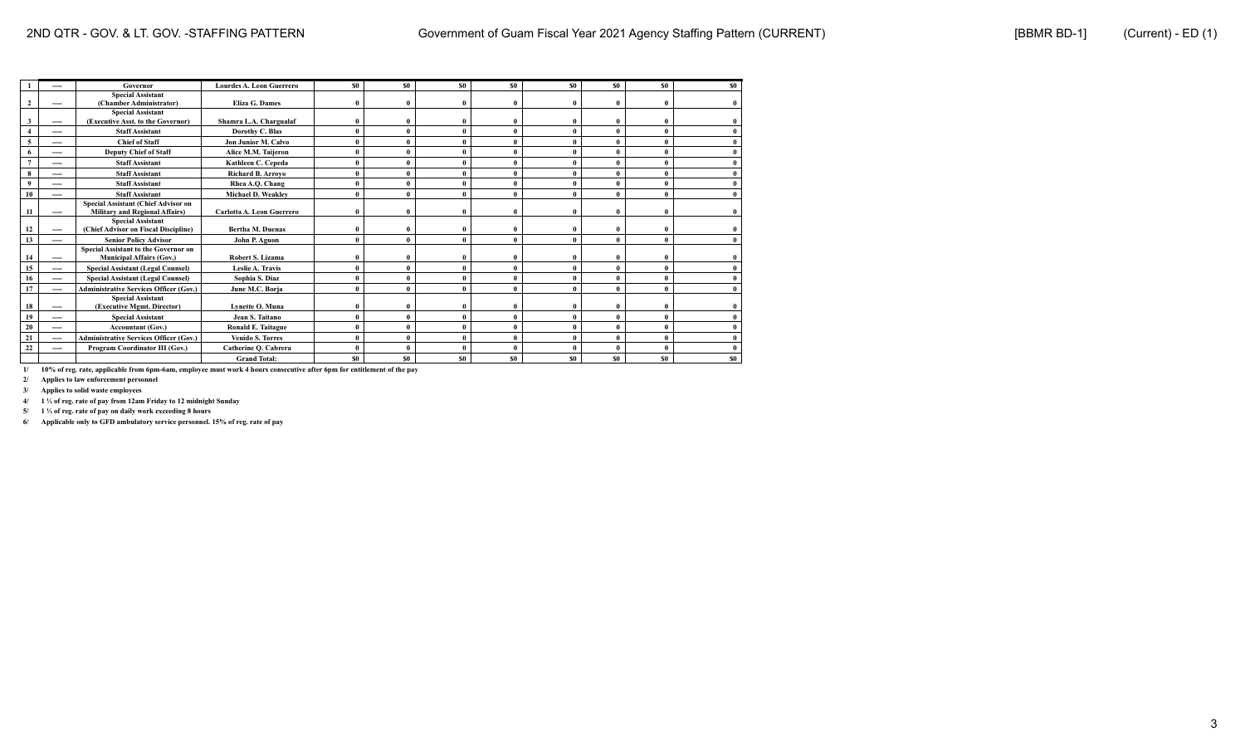|              | ----              | Governor                                                                       | <b>Lourdes A. Leon Guerrero</b> | S <sub>0</sub> | SO.          | \$0          | SO.      | <b>SO</b> | S <sub>0</sub> | S <sub>0</sub> | S <sub>0</sub> |
|--------------|-------------------|--------------------------------------------------------------------------------|---------------------------------|----------------|--------------|--------------|----------|-----------|----------------|----------------|----------------|
| $\mathbf{2}$ | $\qquad \qquad -$ | <b>Special Assistant</b><br>(Chamber Administrator)                            | Eliza G. Dames                  | $\theta$       | $\mathbf{0}$ | $\theta$     | $\Omega$ |           | $\theta$       |                |                |
| 3            | ----              | <b>Special Assistant</b><br>(Executive Asst. to the Governor)                  | Shamra L.A. Chargualaf          |                | $\mathbf{0}$ | $\theta$     |          |           | $\theta$       |                |                |
|              | ----              | <b>Staff Assistant</b>                                                         | Dorothy C. Blas                 |                | $\mathbf{0}$ | $\theta$     |          |           | $\theta$       |                |                |
|              | ----              | <b>Chief of Staff</b>                                                          | <b>Jon Junior M. Calvo</b>      |                | $\theta$     | $\theta$     |          |           | $\theta$       |                |                |
|              | ----              | <b>Deputy Chief of Staff</b>                                                   | Alice M.M. Taijeron             |                | $\mathbf{0}$ | $\theta$     |          |           | $\theta$       |                |                |
|              | ----              | <b>Staff Assistant</b>                                                         | Kathleen C. Cepeda              |                | $\mathbf{0}$ | $\theta$     |          |           | $\theta$       |                |                |
|              | ----              | <b>Staff Assistant</b>                                                         | <b>Richard B. Arrovo</b>        |                | $\mathbf{0}$ |              |          |           |                |                |                |
|              | ----              | <b>Staff Assistant</b>                                                         | Rhea A.Q. Chang                 |                | $\bf{0}$     | $\mathbf{0}$ |          |           | $\theta$       |                |                |
| 10           | ----              | <b>Staff Assistant</b>                                                         | Michael D. Weakley              |                | $\theta$     | $\theta$     |          |           | $\theta$       |                |                |
| 11           | $---$             | Special Assistant (Chief Advisor on<br><b>Military and Regional Affairs)</b>   | Carlotta A. Leon Guerrero       |                | $\mathbf{0}$ |              |          |           |                |                |                |
| 12           | ----              | <b>Special Assistant</b><br>(Chief Advisor on Fiscal Discipline)               | <b>Bertha M. Duenas</b>         |                | $\mathbf{0}$ | $\mathbf{0}$ |          |           |                |                |                |
| 13           | ----              | <b>Senior Policy Advisor</b>                                                   | John P. Aguon                   | $\mathbf{0}$   | $\theta$     | $\mathbf{0}$ | 0        |           | $\theta$       |                |                |
| 14           | $---$             | <b>Special Assistant to the Governor on</b><br><b>Municipal Affairs (Gov.)</b> | <b>Robert S. Lizama</b>         |                | $\mathbf{0}$ |              |          |           |                |                |                |
| 15           | ----              | <b>Special Assistant (Legal Counsel)</b>                                       | Leslie A. Travis                |                | $\mathbf{0}$ | $\theta$     |          |           | $\theta$       |                |                |
| 16           | ----              | <b>Special Assistant (Legal Counsel)</b>                                       | Sophia S. Diaz                  |                | $\mathbf{0}$ | $\mathbf{0}$ |          |           | $\theta$       |                |                |
| 17           | $---$             | <b>Administrative Services Officer (Gov.)</b>                                  | June M.C. Borja                 |                | $\mathbf{0}$ |              |          |           |                |                |                |
| 18           | ----              | <b>Special Assistant</b><br>(Executive Mgmt. Director)                         | Lynette O. Muna                 |                | $\mathbf{0}$ |              |          |           | $\theta$       |                |                |
| 19           | $---$             | <b>Special Assistant</b>                                                       | Jean S. Taitano                 | $\mathbf{0}$   | $\theta$     | $\theta$     |          |           | $\mathbf{0}$   |                |                |
| 20           | ----              | <b>Accountant (Gov.)</b>                                                       | Ronald E. Taitague              |                | $\mathbf{0}$ |              |          |           | $\mathbf{0}$   |                |                |
| 21           | ----              | <b>Administrative Services Officer (Gov.)</b>                                  | <b>Venido S. Torres</b>         |                | $\mathbf{0}$ | $\mathbf{0}$ |          |           | $\theta$       |                |                |
| 22           | ----              | Program Coordinator III (Gov.)                                                 | Catherine O. Cabrera            |                | $\theta$     |              |          |           | $\theta$       |                |                |
|              |                   |                                                                                | <b>Grand Total:</b>             | \$0            | \$0          | \$0          | \$0      | \$0       | \$0            | \$0            | S <sub>0</sub> |

**2/ Applies to law enforcement personnel**

**3/ Applies to solid waste employees**

**4/ 1 ½ of reg. rate of pay from 12am Friday to 12 midnight Sunday**

**5/ 1 ½ of reg. rate of pay on daily work exceeding 8 hours**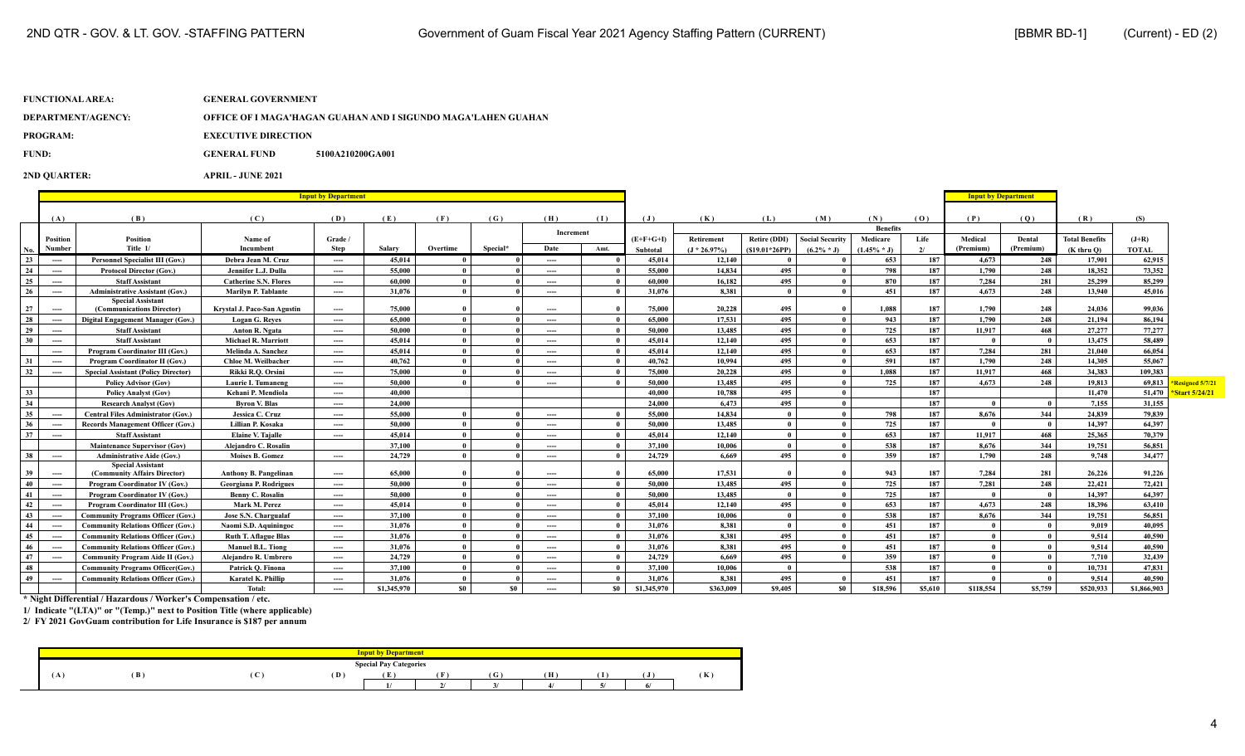| DEPARTMENT/AGENCY: | - OFFICE OF I MAGA'HAGAN GUAHAN AND I SIGUNDO MAGA'LAHEN GUAHAN |
|--------------------|-----------------------------------------------------------------|
|                    |                                                                 |

**PROGRAM:** EXECUTIVE DIRECTION

**FUND: GENERAL FUND 5100A210200GA001** 

**2ND QUARTER: APRIL - JUNE 2021**

|     |                                          |                                                          | <b>Input by Department</b>    |          |             |          |          |           |              |                |                 |                     |                        |                 | <b>Input by Department</b> |            |                         |                       |              |                 |
|-----|------------------------------------------|----------------------------------------------------------|-------------------------------|----------|-------------|----------|----------|-----------|--------------|----------------|-----------------|---------------------|------------------------|-----------------|----------------------------|------------|-------------------------|-----------------------|--------------|-----------------|
|     | (B)<br>(A)                               |                                                          |                               |          |             |          |          |           |              |                |                 |                     |                        |                 |                            |            |                         |                       |              |                 |
|     |                                          |                                                          | (C)                           | (D)      | (E)         | (F)      | (G)      | (H)       | (1)          | $(\mathbf{J})$ | (K)             | (L)                 | (M)                    | (N)             | (0)                        | (P)        | (0)                     | (R)                   | (S)          |                 |
|     |                                          |                                                          |                               |          |             |          |          | Increment |              |                |                 |                     |                        | <b>Benefits</b> |                            |            |                         |                       |              |                 |
|     | <b>Position</b>                          | Position                                                 | Name of                       | Grade /  |             |          |          |           |              | $(E+F+G+I)$    | Retirement      | <b>Retire (DDI)</b> | <b>Social Security</b> | Medicare        | Life                       | Medical    | Dental                  | <b>Total Benefits</b> | $(J+R)$      |                 |
| No. | Number                                   | Title 1/                                                 | Incumbent                     | Step     | Salarv      | Overtime | Special* | Date      | Amt.         | Subtotal       | $(J * 26.97\%)$ | $(S19.01*26PP)$     | $(6.2\% * J)$          | $(1.45\% * J)$  | 2/                         | (Premium)  | (Premium)               | $(K$ thru $O$ )       | <b>TOTAL</b> |                 |
| 23  | $\hspace{0.05cm} \ldots \hspace{0.05cm}$ | <b>Personnel Specialist III (Gov.)</b>                   | Debra Jean M. Cruz            | ----     | 45.014      |          |          | ----      |              | 45.014         | 12,140          |                     |                        | 653             | 187                        | 4.673      | 248                     | 17.901                | 62.915       |                 |
| 24  | $\hspace{0.05cm} \ldots \hspace{0.05cm}$ | <b>Protocol Director (Gov.)</b>                          | Jennifer L.J. Dulla           | ----     | 55,000      |          |          | ----      |              | 55,000         | 14,834          | 495                 |                        | 798             | 187                        | 1,790      | 248                     | 18,352                | 73,352       |                 |
| 25  | $---$                                    | <b>Staff Assistant</b>                                   | <b>Catherine S.N. Flores</b>  | $\cdots$ | 60.000      |          |          | ----      |              | 60.000         | 16.182          | 495                 |                        | 870             | 187                        | 7.284      | 281                     | 25,299                | 85,299       |                 |
| 26  | $---$                                    | <b>Administrative Assistant (Gov.)</b>                   | <b>Marilyn P. Tablante</b>    | ----     | 31,076      |          |          | ----      |              | 31,076         | 8,381           |                     |                        | 451             | 187                        | 4.673      | 248                     | 13,940                | 45,016       |                 |
| 27  | $---$                                    | <b>Special Assistant</b><br>(Communications Director)    | Krystal J. Paco-San Agustin   | ----     | 75,000      |          |          | ----      |              | 75,000         | 20,228          | 495                 |                        | 1.088           | 187                        | 1.790      | 248                     | 24.036                | 99,036       |                 |
| 28  | $---$                                    | Digital Engagement Manager (Gov.)                        | <b>Logan G. Reves</b>         | ----     | 65,000      |          |          | ----      |              | 65,000         | 17,531          | 495                 |                        | 943             | 187                        | 1.790      | 248                     | 21.194                | 86.194       |                 |
| 29  | $\hspace{0.05cm} \ldots \hspace{0.05cm}$ | <b>Staff Assistant</b>                                   | Anton R. Ngata                | ----     | 50,000      |          |          | ----      |              | 50,000         | 13,485          | 495                 |                        | 725             | 187                        | 11.917     | 468                     | 27,277                | 77,277       |                 |
| 30  | $---$                                    | <b>Staff Assistant</b>                                   | <b>Michael R. Marriott</b>    | ----     | 45.014      |          |          | ----      |              | 45,014         | 12,140          | 495                 |                        | 653             | 187                        |            | - 0                     | 13,475                | 58,489       |                 |
|     | $\hspace{0.05cm} \ldots$                 | <b>Program Coordinator III (Gov.)</b>                    | Melinda A. Sanchez            | ----     | 45.014      |          |          | ----      |              | 45.014         | 12,140          | 495                 |                        | 653             | 187                        | 7.284      | 281                     | 21.040                | 66,054       |                 |
| 31  | $\cdots$                                 | Program Coordinator II (Gov.)                            | Chloe M. Weilbacher           | ----     | 40,762      |          |          | ----      |              | 40,762         | 10.994          | 495                 |                        | 591             | 187                        | 1,790      | 248                     | 14,305                | 55,067       |                 |
| 32  | $\hspace{0.05cm} \ldots \hspace{0.05cm}$ | <b>Special Assistant (Policy Director)</b>               | Rikki R.O. Orsini             | ----     | 75,000      |          |          | ----      |              | 75,000         | 20,228          | 495                 |                        | 1.088           | 187                        | 11.917     | 468                     | 34.383                | 109.383      |                 |
|     |                                          | <b>Policy Advisor (Gov)</b>                              | Laurie I. Tumaneng            | ----     | 50,000      |          |          | ----      | $\mathbf{u}$ | 50,000         | 13,485          | 495                 | $\theta$               | 725             | 187                        | 4.673      | 248                     | 19.813                | 69,813       | Resigned 5/7/21 |
| 33  |                                          | <b>Policy Analyst (Gov)</b>                              | Kehani P. Mendiola            | ----     | 40.000      |          |          |           |              | 40.000         | 10.788          | 495                 | $\theta$               |                 | 187                        |            |                         | 11,470                | 51.470       | Start 5/24/21   |
| 34  |                                          | <b>Research Analyst (Gov)</b>                            | <b>Byron V. Blas</b>          | ----     | 24,000      |          |          |           |              | 24,000         | 6.473           | 495                 | $\mathbf{0}$           |                 | 187                        | - 0        | - 0                     | 7.155                 | 31,155       |                 |
| 35  | $---$                                    | <b>Central Files Administrator (Gov.)</b>                | Jessica C. Cruz               | ----     | 55,000      |          |          | ----      | $\mathbf{u}$ | 55,000         | 14.834          | - 0                 |                        | 798             | 187                        | 8.676      | 344                     | 24,839                | 79,839       |                 |
| 36  | $---$                                    | <b>Records Management Officer (Gov.)</b>                 | Lillian P. Kosaka             | ----     | 50.000      |          |          | ----      | $\mathbf{0}$ | 50,000         | 13,485          | $\mathbf{0}$        |                        | 725             | 187                        |            | - 0                     | 14.397                | 64.397       |                 |
| 37  | $---$                                    | <b>Staff Assistant</b>                                   | <b>Elaine V. Tajalle</b>      | ----     | 45.014      |          |          | ----      |              | 45,014         | 12,140          | $\theta$            |                        | 653             | 187                        | 11.917     | 468                     | 25,365                | 70.379       |                 |
|     |                                          | <b>Maintenance Supervisor (Gov)</b>                      | Alejandro C. Rosalin          |          | 37,100      |          |          | ----      |              | 37,100         | 10.006          | $\theta$            |                        | 538             | 187                        | 8.676      | 344                     | 19,751                | 56,851       |                 |
| 38  | $---$                                    | <b>Administrative Aide (Gov.)</b>                        | <b>Moises B. Gomez</b>        | ----     | 24,729      |          |          | ----      |              | 24,729         | 6.669           | 495                 |                        | 359             | 187                        | 1,790      | 248                     | 9,748                 | 34,477       |                 |
| 39  | $---$                                    | <b>Special Assistant</b><br>(Community Affairs Director) | <b>Anthony B. Pangelinan</b>  | ----     | 65,000      |          |          | ----      |              | 65,000         | 17,531          |                     |                        | 943             | 187                        | 7.284      | 281                     | 26,226                | 91,226       |                 |
| 40  | $---$                                    | Program Coordinator IV (Gov.)                            | <b>Georgiana P. Rodrigues</b> | ----     | 50,000      |          |          | ----      | $\mathbf{u}$ | 50,000         | 13,485          | 495                 |                        | 725             | 187                        | 7,281      | 248                     | 22,421                | 72,421       |                 |
| 41  | $---$                                    | Program Coordinator IV (Gov.)                            | <b>Benny C. Rosalin</b>       | ----     | 50.000      |          |          | ----      | $\mathbf{0}$ | 50,000         | 13,485          | $\theta$            |                        | 725             | 187                        | $\sqrt{ }$ | - 0                     | 14.397                | 64.397       |                 |
| 42  | $\hspace{0.05cm} \ldots \hspace{0.05cm}$ | Program Coordinator III (Gov.)                           | Mark M. Perez                 | ----     | 45,014      |          |          | ----      |              | 45,014         | 12,140          | 495                 |                        | 653             | 187                        | 4.673      | 248                     | 18.396                | 63.410       |                 |
| 43  | $\hspace{0.05cm} \ldots$                 | <b>Community Programs Officer (Gov.)</b>                 | Jose S.N. Chargualaf          | ----     | 37,100      | $\theta$ |          | ----      | $\mathbf{0}$ | 37,100         | 10.006          | $\theta$            |                        | 538             | 187                        | 8.676      | 344                     | 19,751                | 56,851       |                 |
| 44  | $---$                                    | <b>Community Relations Officer (Gov.)</b>                | Naomi S.D. Aquiningoc         | ----     | 31,076      |          |          | ----      | $\mathbf{0}$ | 31,076         | 8,381           | $\theta$            |                        | 451             | 187                        | - 0        | $\overline{\mathbf{0}}$ | 9,019                 | 40.095       |                 |
| 45  | $---$                                    | <b>Community Relations Officer (Gov.)</b>                | <b>Ruth T. Aflague Blas</b>   | ----     | 31.076      |          |          | ----      | $\mathbf{0}$ | 31.076         | 8.381           | 495                 | $\mathbf{0}$           | 451             | 187                        | - 0        | $\overline{0}$          | 9.514                 | 40.590       |                 |
| 46  | $---$                                    | <b>Community Relations Officer (Gov.)</b>                | <b>Manuel B.L. Tiong</b>      | ----     | 31,076      |          |          | ----      |              | 31,076         | 8,381           | 495                 |                        | 451             | 187                        |            | - 0                     | 9,514                 | 40,590       |                 |
| 47  | $\hspace{0.05cm} \ldots$                 | <b>Community Program Aide II (Gov.)</b>                  | Alejandro R. Umbrero          | ----     | 24,729      |          |          | ----      | $\mathbf{0}$ | 24,729         | 6.669           | 495                 |                        | 359             | 187                        |            | - 0                     | 7.710                 | 32.439       |                 |
| 48  |                                          | <b>Community Programs Officer(Gov.)</b>                  | Patrick O. Finona             | ----     | 37,100      |          |          | ----      | $\mathbf{0}$ | 37,100         | 10.006          | - 0                 |                        | 538             | 187                        | - 0        | - 0                     | 10,731                | 47,831       |                 |
| 49  | $---$                                    | <b>Community Relations Officer (Gov.)</b>                | Karatel K. Phillip            | ----     | 31.076      |          |          | ----      |              | 31,076         | 8.381           | 495                 |                        | 451             | 187                        | - 0        | - 0                     | 9.514                 | 40.590       |                 |
|     |                                          |                                                          | Total:                        | ----     | \$1,345,970 | \$0      | -80      | $---$     | <b>SO</b>    | \$1,345,970    | \$363,009       | \$9,405             | \$0                    | \$18,596        | \$5,610                    | \$118,554  | \$5,759                 | \$520,933             | \$1,866,903  |                 |

**\* Night Differential / Hazardous / Worker's Compensation / etc.**

**1/ Indicate "(LTA)" or "(Temp.)" next to Position Title (where applicable)**

|              |     |             |     | ut by Department              |       |   |    |   |     |
|--------------|-----|-------------|-----|-------------------------------|-------|---|----|---|-----|
|              |     |             |     | <b>Special Pay Categories</b> |       |   |    |   |     |
| $\mathbf{A}$ | (B) | $\sim$<br>◟ | (D) | 6 T.<br>L.                    | - 303 | v | (H | Т | (K) |
|              |     |             |     | . .                           |       |   |    |   |     |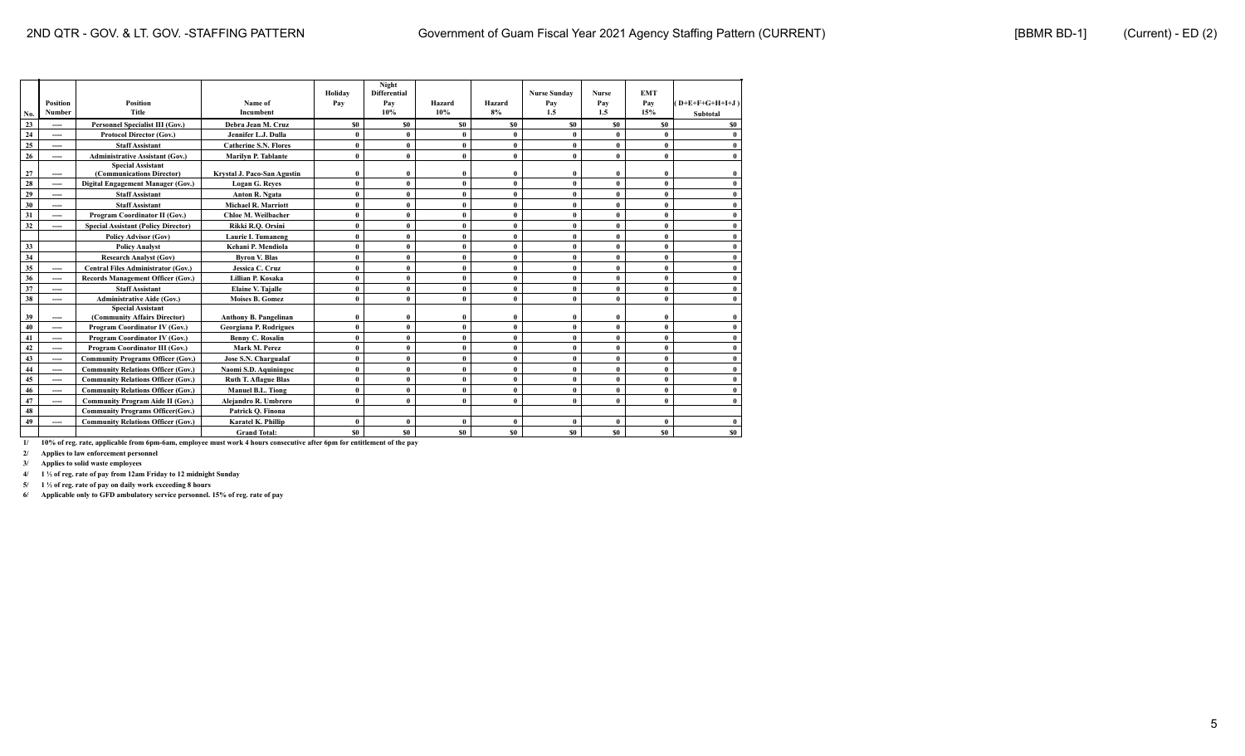| No. | <b>Position</b><br>Number | <b>Position</b><br><b>Title</b>                          | Name of<br>Incumbent          | Holiday<br>Pay | Night<br><b>Differential</b><br>Pay<br>10% | Hazard<br>10% | Hazard<br>8%   | <b>Nurse Sunday</b><br>Pay<br>1.5 | <b>Nurse</b><br>Pay<br>1.5 | <b>EMT</b><br>Pay<br>15% | $(D+E+F+G+H+I+J)$<br>Subtotal |
|-----|---------------------------|----------------------------------------------------------|-------------------------------|----------------|--------------------------------------------|---------------|----------------|-----------------------------------|----------------------------|--------------------------|-------------------------------|
| 23  | ----                      | <b>Personnel Specialist III (Gov.)</b>                   | Debra Jean M. Cruz            | \$0            | S <sub>0</sub>                             | \$0           | \$0            | \$0                               | S <sub>0</sub>             | SO.                      | <b>SO</b>                     |
| 24  | ----                      | <b>Protocol Director (Gov.)</b>                          | Jennifer L.J. Dulla           | 0              | $\mathbf{0}$                               | $\mathbf{0}$  | $\mathbf{0}$   | $\mathbf{0}$                      | $\theta$                   | $\theta$                 |                               |
| 25  | ----                      | <b>Staff Assistant</b>                                   | <b>Catherine S.N. Flores</b>  |                | $\bf{0}$                                   | $\mathbf{0}$  | $\mathbf{0}$   |                                   | $\mathbf{0}$               | $\mathbf{0}$             |                               |
| 26  | ----                      | <b>Administrative Assistant (Gov.)</b>                   | Marilyn P. Tablante           | $\mathbf{0}$   | $\theta$                                   | $\mathbf{0}$  | $\mathbf{0}$   | $\theta$                          | $\mathbf{0}$               | $\mathbf{0}$             |                               |
| 27  | ----                      | <b>Special Assistant</b><br>(Communications Director)    | Krystal J. Paco-San Agustin   |                | $\bf{0}$                                   | $\theta$      | $\theta$       |                                   | $\mathbf{0}$               | $\mathbf{0}$             |                               |
| 28  | ----                      | Digital Engagement Manager (Gov.)                        | <b>Logan G. Reves</b>         | $\mathbf{0}$   | $\bf{0}$                                   | $\mathbf{0}$  | $\mathbf{0}$   | $\theta$                          | $\theta$                   | $\mathbf{0}$             |                               |
| 29  | ----                      | <b>Staff Assistant</b>                                   | Anton R. Ngata                | $\mathbf{0}$   | $\theta$                                   | $\mathbf{0}$  | $\mathbf{0}$   | $\theta$                          | $\theta$                   | $\theta$                 |                               |
| 30  | ----                      | <b>Staff Assistant</b>                                   | <b>Michael R. Marriott</b>    | 0              | $\bf{0}$                                   | $\mathbf{0}$  | $\mathbf{0}$   | 0                                 | $\mathbf{0}$               | $\mathbf{0}$             |                               |
| 31  | ----                      | Program Coordinator II (Gov.)                            | Chloe M. Weilbacher           | $\mathbf{0}$   | $\theta$                                   | $\mathbf{0}$  | $\mathbf{0}$   | 0                                 | $\theta$                   | $\mathbf{0}$             |                               |
| 32  | ----                      | <b>Special Assistant (Policy Director)</b>               | Rikki R.O. Orsini             | $\theta$       | $\bf{0}$                                   | $\mathbf{0}$  | $\mathbf{0}$   | $\mathbf{0}$                      | $\theta$                   | $\mathbf{0}$             |                               |
|     |                           | <b>Policy Advisor (Gov)</b>                              | <b>Laurie I. Tumaneng</b>     | 0              | $\bf{0}$                                   | $\mathbf{0}$  | $\mathbf{0}$   | $\theta$                          | $\mathbf{0}$               | $\mathbf{0}$             |                               |
| 33  |                           | <b>Policy Analyst</b>                                    | Kehani P. Mendiola            |                | $\bf{0}$                                   | $\mathbf{0}$  | $\mathbf{0}$   |                                   | $\theta$                   | $\mathbf{0}$             |                               |
| 34  |                           | <b>Research Analyst (Gov)</b>                            | <b>Byron V. Blas</b>          | 0              | $\bf{0}$                                   | $\mathbf{0}$  | $\mathbf{0}$   | 0                                 | $\mathbf{0}$               | $\mathbf{0}$             | $\theta$                      |
| 35  | ----                      | <b>Central Files Administrator (Gov.)</b>                | Jessica C. Cruz               | $\theta$       | $\bf{0}$                                   | $\mathbf{0}$  | $\mathbf{0}$   | 0                                 | $\theta$                   | $\mathbf{0}$             |                               |
| 36  | ----                      | <b>Records Management Officer (Gov.)</b>                 | Lillian P. Kosaka             | $\mathbf{0}$   | $\theta$                                   | $\mathbf{0}$  | $\mathbf{0}$   | $\theta$                          | $\mathbf{0}$               | $\theta$                 |                               |
| 37  | ----                      | <b>Staff Assistant</b>                                   | <b>Elaine V. Tajalle</b>      |                | $\bf{0}$                                   | $\mathbf{0}$  | $\mathbf{0}$   | 0                                 | $\mathbf{0}$               | $\mathbf{0}$             |                               |
| 38  | ----                      | <b>Administrative Aide (Gov.)</b>                        | <b>Moises B. Gomez</b>        |                | $\theta$                                   | $\mathbf{0}$  | $\mathbf{0}$   |                                   | $\theta$                   | $\theta$                 |                               |
| 39  | ----                      | <b>Special Assistant</b><br>(Community Affairs Director) | <b>Anthony B. Pangelinan</b>  |                | $\bf{0}$                                   | $\theta$      | $\mathbf{0}$   | 0                                 | $\mathbf{0}$               | $\mathbf{0}$             |                               |
| 40  | ----                      | Program Coordinator IV (Gov.)                            | <b>Georgiana P. Rodrigues</b> | 0              | $\bf{0}$                                   | $\mathbf{0}$  | $\mathbf{0}$   | 0                                 | $\theta$                   | $\mathbf{0}$             |                               |
| 41  | ----                      | Program Coordinator IV (Gov.)                            | Benny C. Rosalin              | $\mathbf{0}$   | $\bf{0}$                                   | $\mathbf{0}$  | $\theta$       |                                   | $\theta$                   | $\mathbf{0}$             |                               |
| 42  | ----                      | Program Coordinator III (Gov.)                           | Mark M. Perez                 | $\mathbf{0}$   | $\mathbf{0}$                               | $\mathbf{0}$  | $\mathbf{0}$   | $\theta$                          | $\theta$                   | $\mathbf{0}$             |                               |
| 43  | ----                      | <b>Community Programs Officer (Gov.)</b>                 | Jose S.N. Chargualaf          | $\theta$       | $\bf{0}$                                   | $\mathbf{0}$  | $\mathbf{0}$   | $\mathbf{0}$                      | $\mathbf{0}$               | $\mathbf{0}$             | $\theta$                      |
| 44  | ----                      | <b>Community Relations Officer (Gov.)</b>                | Naomi S.D. Aquiningoc         | $\mathbf{0}$   | $\theta$                                   | $\mathbf{0}$  | $\mathbf{0}$   | 0                                 | $\theta$                   | $\mathbf{0}$             |                               |
| 45  | ----                      | <b>Community Relations Officer (Gov.)</b>                | <b>Ruth T. Aflague Blas</b>   | $\theta$       | $\bf{0}$                                   | $\mathbf{0}$  | $\mathbf{0}$   | $\mathbf{0}$                      | $\theta$                   | $\mathbf{0}$             |                               |
| 46  | ----                      | <b>Community Relations Officer (Gov.)</b>                | <b>Manuel B.L. Tiong</b>      | 0              | $\bf{0}$                                   | $\mathbf{0}$  | $\mathbf{0}$   | $\mathbf{0}$                      | $\mathbf{0}$               | $\mathbf{0}$             |                               |
| 47  | ----                      | <b>Community Program Aide II (Gov.)</b>                  | Alejandro R. Umbrero          | 0              | $\theta$                                   | $\mathbf{0}$  | $\mathbf{0}$   | $\theta$                          | $\theta$                   | $\mathbf{0}$             |                               |
| 48  |                           | <b>Community Programs Officer(Gov.)</b>                  | Patrick Q. Finona             |                |                                            |               |                |                                   |                            |                          |                               |
| 49  | ----                      | <b>Community Relations Officer (Gov.)</b>                | Karatel K. Phillip            | 0              | $\bf{0}$                                   | $\mathbf{0}$  | $\mathbf{0}$   | 0                                 | $\mathbf{0}$               | $\mathbf{0}$             |                               |
|     |                           |                                                          | <b>Grand Total:</b>           | <b>SO</b>      | S <sub>0</sub>                             | \$0           | S <sub>0</sub> | \$0                               | S <sub>0</sub>             | S <sub>0</sub>           | \$0                           |

**2/ Applies to law enforcement personnel**

**3/ Applies to solid waste employees**

**4/ 1 ½ of reg. rate of pay from 12am Friday to 12 midnight Sunday**

**5/ 1 ½ of reg. rate of pay on daily work exceeding 8 hours**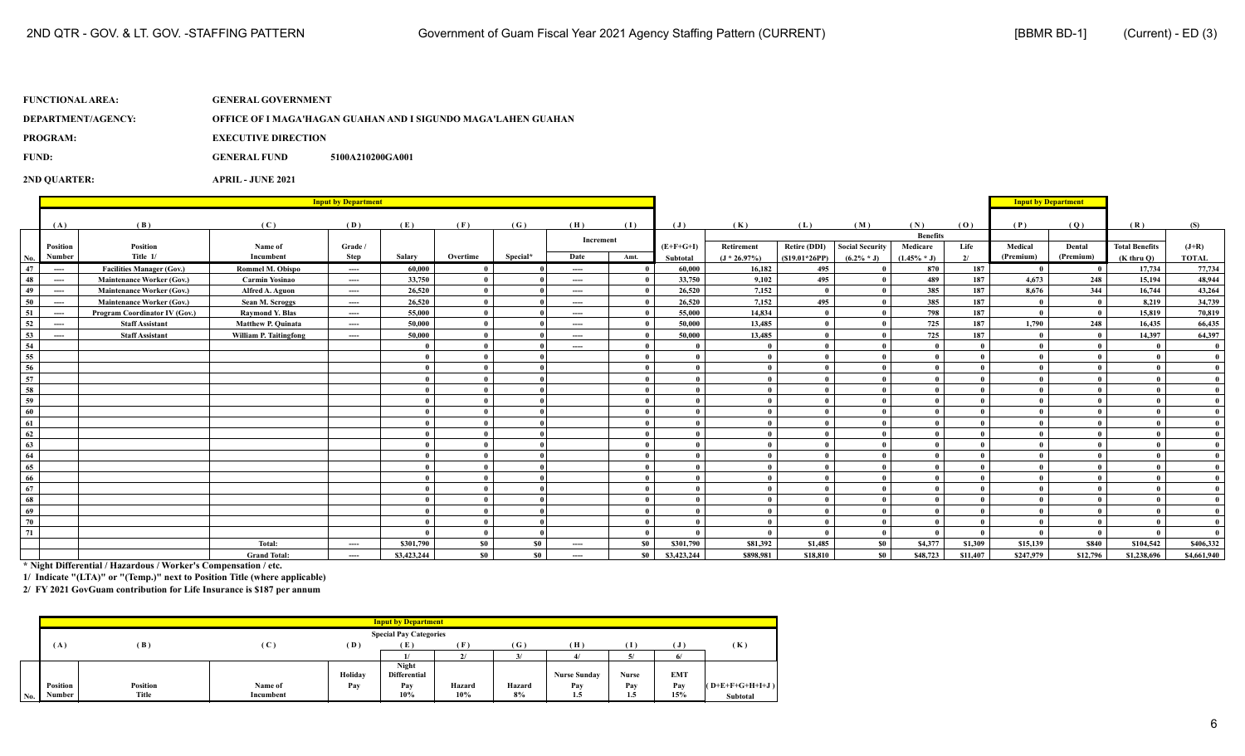| DEPARTMENT/AGENCY: | OFFICE OF I MAGA'HAGAN GUAHAN AND I SIGUNDO MAGA'LAHEN GUAHAN |
|--------------------|---------------------------------------------------------------|
|                    |                                                               |

**PROGRAM:** EXECUTIVE DIRECTION

**FUND: GENERAL FUND 5100A210200GA001** 

**2ND QUARTER: APRIL - JUNE 2021**

|                 |          |                                  | <b>Input by Department</b> |                               |             |          |                |                               |              |                | <b>Input by Department</b> |                     |                        |                 |          |                      |                     |                       |              |
|-----------------|----------|----------------------------------|----------------------------|-------------------------------|-------------|----------|----------------|-------------------------------|--------------|----------------|----------------------------|---------------------|------------------------|-----------------|----------|----------------------|---------------------|-----------------------|--------------|
|                 |          |                                  |                            |                               |             |          |                |                               |              |                |                            |                     |                        |                 |          |                      |                     |                       |              |
|                 | (A)      | (B)                              | (C)                        | (D)                           | (E)         | (F)      | (G)            | (H)                           | (1)          | $(\mathbf{J})$ | (K)                        | (L)                 | (M)                    | (N)             | (0)      | (P)                  | (Q)                 | (R)                   | (S)          |
|                 |          |                                  |                            |                               |             |          |                | Increment                     |              |                |                            |                     |                        | <b>Benefits</b> |          |                      |                     |                       |              |
|                 | Position | Position<br>Title 1/             | Name of<br>Incumbent       | Grade /                       | Salary      | Overtime | Special*       | Date                          |              | $(E+F+G+I)$    | Retirement                 | <b>Retire (DDI)</b> | <b>Social Security</b> | Medicare        | Life     | Medical<br>(Premium) | Dental<br>(Premium) | <b>Total Benefits</b> | $(J+R)$      |
| No.             | Number   |                                  |                            | Step                          |             |          |                |                               | Amt.         | Subtotal       | $(J * 26.97%)$             | $(S19.01*26PP)$     | $(6.2\% * J)$          | $(1.45\% * J)$  | 2/       |                      |                     | $(K$ thru $O$ )       | <b>TOTAL</b> |
| 47              | $\cdots$ | <b>Facilities Manager (Gov.)</b> | <b>Rommel M. Obispo</b>    | $\cdots$                      | 60.000      |          |                | $\cdots$                      |              | 60.000         | 16.182                     | 495                 |                        | 870             | 187      | $\mathbf{0}$         |                     | 17,734                | 77,734       |
| 48              | $---$    | <b>Maintenance Worker (Gov.)</b> | <b>Carmin Yosinao</b>      | $\cdots$                      | 33,750      |          |                | $\cdots$                      |              | 33,750         | 9.102                      | 495                 |                        | 489             | 187      | 4.673                | 248                 | 15,194                | 48,944       |
| 49              | ----     | <b>Maintenance Worker (Gov.)</b> | Alfred A. Aguon            | $\hspace{1.5cm} \textbf{---}$ | 26,520      |          |                | $\hspace{1.5cm} \textbf{---}$ |              | 26,520         | 7,152                      | $\mathbf{0}$        | $\mathbf{a}$           | 385             | 187      | 8.676                | 344                 | 16,744                | 43,264       |
| 50              | $---$    | <b>Maintenance Worker (Gov.)</b> | Sean M. Scroggs            | $\cdots$                      | 26,520      |          |                | $\cdots$                      |              | 26,520         | 7,152                      | 495                 |                        | 385             | 187      |                      |                     | 8,219                 | 34,739       |
| -51             | $---$    | Program Coordinator IV (Gov.)    | <b>Raymond Y. Blas</b>     | $\cdots$                      | 55,000      |          |                | $\hspace{1.5cm} \textbf{---}$ |              | 55,000         | 14,834                     | $\mathbf{0}$        |                        | 798             | 187      |                      |                     | 15,819                | 70,819       |
| 52              | ----     | <b>Staff Assistant</b>           | <b>Matthew P. Quinata</b>  | $\cdots$                      | 50,000      |          |                | $\hspace{1.5cm} \textbf{---}$ |              | 50,000         | 13,485                     | $\mathbf{0}$        |                        | 725             | 187      | 1,790                | 248                 | 16,435                | 66,435       |
| 53              | $\cdots$ | <b>Staff Assistant</b>           | William P. Taitingfong     | ----                          | 50,000      |          |                | $\cdots$                      |              | 50,000         | 13,485                     | $\mathbf{0}$        |                        | 725             | 187      |                      |                     | 14.397                | 64,397       |
| $\frac{54}{55}$ |          |                                  |                            |                               |             |          |                | $\cdots$                      |              | $\mathbf{0}$   | $\mathbf{0}$               |                     |                        |                 |          |                      |                     |                       |              |
|                 |          |                                  |                            |                               |             |          |                |                               |              | $\mathbf{0}$   | $\theta$                   |                     |                        |                 |          |                      |                     |                       | $\mathbf{0}$ |
| 56              |          |                                  |                            |                               |             |          |                |                               |              | $\mathbf{0}$   | $\theta$                   |                     |                        |                 |          |                      |                     |                       | $\theta$     |
| 57              |          |                                  |                            |                               |             |          |                |                               |              | $\mathbf{0}$   | $\mathbf{0}$               |                     | $\mathbf{a}$           |                 |          |                      |                     |                       | $\mathbf{0}$ |
| 58              |          |                                  |                            |                               |             |          |                |                               |              | $\mathbf{0}$   | $\mathbf{0}$               | $\mathbf{0}$        | $\theta$               |                 |          |                      |                     |                       |              |
| 59              |          |                                  |                            |                               |             |          |                |                               |              | $\mathbf{0}$   | $\mathbf{0}$               | $\mathbf{0}$        | $\mathbf{a}$           |                 |          |                      |                     |                       | $\mathbf{0}$ |
| 60              |          |                                  |                            |                               |             |          |                |                               | $\mathbf{a}$ | $\mathbf{0}$   | $\mathbf{0}$               | $\mathbf{0}$        | $\mathbf{a}$           |                 |          |                      |                     |                       | $\mathbf{0}$ |
| 61              |          |                                  |                            |                               |             |          |                |                               | $\mathbf{u}$ | $\mathbf{0}$   | $\mathbf{0}$               | $\mathbf{0}$        | $\mathbf{a}$           | $\mathbf{a}$    |          |                      |                     |                       | $\mathbf{0}$ |
| 62              |          |                                  |                            |                               |             |          |                |                               | 0            | $\mathbf{0}$   | $\mathbf{0}$               | $\mathbf{0}$        | $\theta$               |                 |          |                      |                     |                       |              |
| 63              |          |                                  |                            |                               |             |          |                |                               |              | $\theta$       | $\theta$                   | $\mathbf{0}$        |                        |                 |          |                      |                     |                       | $\mathbf{0}$ |
| 64              |          |                                  |                            |                               |             |          |                |                               |              | $\mathbf{0}$   | $\theta$                   | $\mathbf{0}$        | $\mathbf{a}$           |                 |          |                      |                     |                       | $^{\circ}$   |
| 65              |          |                                  |                            |                               |             |          |                |                               |              | $\mathbf{0}$   | $\theta$                   |                     |                        |                 |          |                      |                     |                       |              |
| 66              |          |                                  |                            |                               |             |          |                |                               |              | $\mathbf{0}$   | $\mathbf{0}$               | $\mathbf{0}$        | $\mathbf{0}$           |                 |          |                      |                     |                       |              |
| 67              |          |                                  |                            |                               |             |          |                |                               |              | $\mathbf{0}$   | - 0                        |                     |                        |                 |          |                      |                     |                       |              |
| 68              |          |                                  |                            |                               |             |          |                |                               |              | $\mathbf{0}$   | $\theta$                   |                     |                        |                 |          |                      |                     |                       |              |
| 69              |          |                                  |                            |                               |             |          |                |                               |              | $\mathbf{0}$   | $\mathbf{0}$               |                     |                        |                 |          |                      |                     |                       |              |
| 70              |          |                                  |                            |                               |             |          |                |                               |              | $\mathbf{0}$   | $\mathbf{0}$               |                     |                        |                 |          |                      |                     |                       |              |
| 71              |          |                                  |                            |                               |             |          |                |                               |              |                | $\theta$                   | $\mathbf{0}$        | $\mathbf{0}$           |                 |          |                      |                     |                       |              |
|                 |          |                                  | Total:                     | $---$                         | \$301,790   | - \$0    | S <sub>0</sub> | $\cdots$                      | -80          | \$301.790      | \$81,392                   | \$1,485             | \$0                    | \$4,377         | \$1,309  | \$15,139             | <b>\$840</b>        | \$104,542             | \$406,332    |
|                 |          |                                  | <b>Grand Total:</b>        | $\qquad \qquad \cdots$        | \$3,423,244 | \$0      | \$0            | ----                          | \$0          | \$3,423,244    | \$898,981                  | \$18,810            | \$0                    | \$48,723        | \$11,407 | \$247,979            | \$12,796            | \$1,238,696           | \$4,661,940  |

**\* Night Differential / Hazardous / Worker's Compensation / etc.**

**1/ Indicate "(LTA)" or "(Temp.)" next to Position Title (where applicable)**

|     |          |          |           |         | <b>Input by Department</b>    |        |        |                     |       |            |                               |
|-----|----------|----------|-----------|---------|-------------------------------|--------|--------|---------------------|-------|------------|-------------------------------|
|     |          |          |           |         | <b>Special Pay Categories</b> |        |        |                     |       |            |                               |
|     | (A)      | (B)      | (C)       | (D)     | Έ                             |        | (G)    | (H)                 |       |            | (K)                           |
|     |          |          |           |         | 11                            | $\sim$ |        |                     |       | 6/         |                               |
|     |          |          |           |         | Night                         |        |        |                     |       |            |                               |
|     |          |          |           | Holiday | <b>Differential</b>           |        |        | <b>Nurse Sunday</b> | Nurse | <b>EMT</b> |                               |
|     | Position | Position | Name of   | Pav     | Pay                           | Hazard | Hazard | Pay                 | Pay   | Pav        | $(O + E + F + G + H + I + J)$ |
| No. | Number   | Title    | Incumbent |         | 10%                           | 10%    | 8%     | 1.5                 | 1.5   | 15%        | Subtotal                      |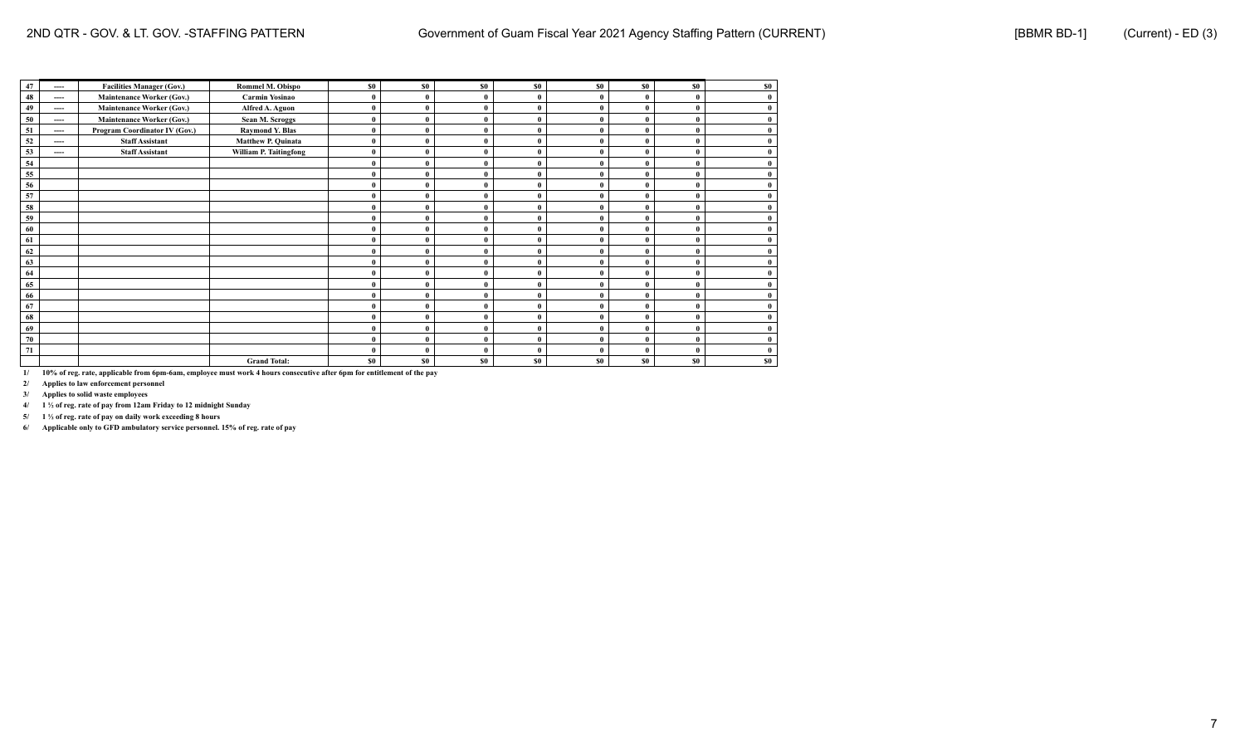| 47 | ----     | <b>Facilities Manager (Gov.)</b> | Rommel M. Obispo       | \$0            | \$0          | \$0            | \$0          | <b>SO</b> | \$0          | \$0      | \$0          |
|----|----------|----------------------------------|------------------------|----------------|--------------|----------------|--------------|-----------|--------------|----------|--------------|
| 48 | ----     | <b>Maintenance Worker (Gov.)</b> | Carmin Yosinao         |                | $\bf{0}$     | $\bf{0}$       | $\theta$     |           | $\theta$     | $\theta$ | 0            |
| 49 | ----     | <b>Maintenance Worker (Gov.)</b> | Alfred A. Aguon        |                | $\bf{0}$     | $\mathbf{0}$   | $\theta$     |           | $\theta$     |          |              |
| 50 | ----     | <b>Maintenance Worker (Gov.)</b> | Sean M. Scroggs        |                | $\bf{0}$     | $\mathbf{0}$   | $\Omega$     |           | $\theta$     | $\theta$ |              |
| 51 | ----     | Program Coordinator IV (Gov.)    | <b>Raymond Y. Blas</b> |                | $\bf{0}$     | $\mathbf{0}$   | $\theta$     |           | $\Omega$     |          | 0            |
| 52 | $\cdots$ | <b>Staff Assistant</b>           | Matthew P. Quinata     |                | $\bf{0}$     | $\bf{0}$       | $\mathbf{0}$ |           | $\mathbf{0}$ | $\theta$ | $\bf{0}$     |
| 53 | ----     | <b>Staff Assistant</b>           | William P. Taitingfong |                | $\bf{0}$     | $\mathbf{0}$   | $\Omega$     |           |              |          | 0            |
| 54 |          |                                  |                        |                | $\bf{0}$     | $\bf{0}$       | $\theta$     |           |              |          | 0            |
| 55 |          |                                  |                        |                | $\bf{0}$     | $\bf{0}$       | $\mathbf{0}$ |           |              |          |              |
| 56 |          |                                  |                        |                | $\bf{0}$     | $\mathbf{0}$   | $\mathbf{0}$ |           | $\theta$     | $\theta$ |              |
| 57 |          |                                  |                        |                | $\bf{0}$     | $\mathbf{0}$   | $\theta$     |           | $\theta$     | $\theta$ |              |
| 58 |          |                                  |                        |                | $\bf{0}$     | $\bf{0}$       | $\theta$     |           | $\theta$     |          |              |
| 59 |          |                                  |                        | $\Omega$       | $\mathbf{0}$ | $\mathbf{0}$   | $\theta$     | $\theta$  | $\theta$     | $\theta$ | $\mathbf{0}$ |
| 60 |          |                                  |                        |                | $\bf{0}$     | $\bf{0}$       | $\Omega$     |           |              |          | 0            |
| 61 |          |                                  |                        |                | $\bf{0}$     | $\bf{0}$       |              |           |              |          |              |
| 62 |          |                                  |                        |                | $\bf{0}$     | $\bf{0}$       | $\theta$     |           | $\theta$     |          |              |
| 63 |          |                                  |                        |                | $\bf{0}$     | $\bf{0}$       | $\theta$     |           | $\theta$     |          |              |
| 64 |          |                                  |                        |                | $\bf{0}$     | $\mathbf{0}$   | $\theta$     |           | $\theta$     | $\Omega$ |              |
| 65 |          |                                  |                        |                | $\bf{0}$     | $\bf{0}$       | $\theta$     |           | $\theta$     | $\theta$ |              |
| 66 |          |                                  |                        |                | $\bf{0}$     | $\mathbf{0}$   | $\mathbf{0}$ |           | $\theta$     | $\theta$ | $\theta$     |
| 67 |          |                                  |                        |                | $\bf{0}$     | $\mathbf{0}$   | $\mathbf{0}$ |           | $\mathbf{0}$ |          | 0            |
| 68 |          |                                  |                        |                | $\bf{0}$     | $\bf{0}$       | $\theta$     |           |              | $\Omega$ | 0            |
| 69 |          |                                  |                        |                | $\bf{0}$     | $\bf{0}$       | $\theta$     |           |              |          |              |
| 70 |          |                                  |                        |                | $\bf{0}$     | $\bf{0}$       | $\mathbf{0}$ |           | $\theta$     |          | 0            |
| 71 |          |                                  |                        |                | $\mathbf{0}$ | $\bf{0}$       | $\theta$     | $\theta$  | $\theta$     |          |              |
|    |          |                                  | <b>Grand Total:</b>    | S <sub>0</sub> | \$0\$        | S <sub>0</sub> | \$0\$        | \$0       | <b>SO</b>    | \$0      | \$0          |

**2/ Applies to law enforcement personnel**

**3/ Applies to solid waste employees**

**4/ 1 ½ of reg. rate of pay from 12am Friday to 12 midnight Sunday**

**5/ 1 ½ of reg. rate of pay on daily work exceeding 8 hours**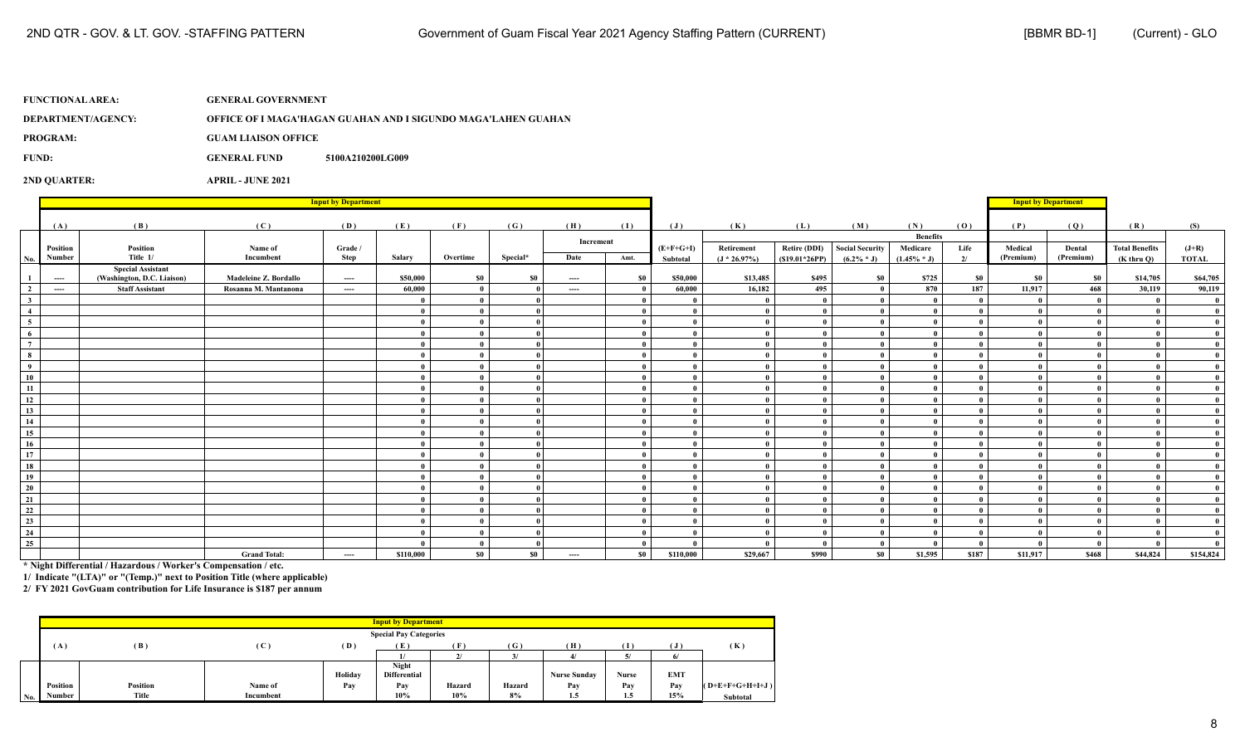**DEPARTMENT/AGENCY: OFFICE OF I MAGA'HAGAN GUAHAN AND I SIGUNDO MAGA'LAHEN GUAHAN**

**PROGRAM: GUAM LIAISON OFFICE**

**FUND: GENERAL FUND 5100A210200LG009** 

**2ND QUARTER: APRIL - JUNE 2021**

|                                                           |                                          |                                                        |                       | <b>Input by Department</b> |           |                     |          |                               |                      |             |                |                 |                              |                             |                              |           | <b>Input by Department</b> |                       |                              |
|-----------------------------------------------------------|------------------------------------------|--------------------------------------------------------|-----------------------|----------------------------|-----------|---------------------|----------|-------------------------------|----------------------|-------------|----------------|-----------------|------------------------------|-----------------------------|------------------------------|-----------|----------------------------|-----------------------|------------------------------|
|                                                           |                                          |                                                        |                       |                            |           |                     |          |                               |                      |             |                |                 |                              |                             |                              |           |                            |                       |                              |
|                                                           | (A)                                      | (B)                                                    | (C)                   | (D)                        | (E)       | (F)                 | (G)      | (H)                           | (I)                  | (J)         | (K)            | (L)             | (M)                          | (N)                         | (0)                          | (P)       | (Q)                        | (R)                   | (S)                          |
|                                                           | Position                                 | Position                                               | Name of               | Grade /                    |           |                     |          | Increment                     |                      | $(E+F+G+I)$ | Retirement     | Retire (DDI)    | <b>Social Security</b>       | <b>Benefits</b><br>Medicare | Life                         | Medical   | Dental                     | <b>Total Benefits</b> | $(J+R)$                      |
| No.∣                                                      | Number                                   | Title 1/                                               | Incumbent             | Step                       | Salary    | Overtime            | Special* | Date                          | Amt.                 | Subtotal    | $(J * 26.97%)$ | $(S19.01*26PP)$ | $(6.2\% * J)$                | $(1.45\% * J)$              | 2/                           | (Premium) | (Premium)                  | $(K$ thru $O$ )       | <b>TOTAL</b>                 |
| $\mathbf{1}$                                              | $\hspace{0.05cm} \ldots \hspace{0.05cm}$ | <b>Special Assistant</b><br>(Washington, D.C. Liaison) | Madeleine Z. Bordallo | $---$                      | \$50,000  | \$0                 | \$0      | $\cdots$                      | \$0                  | \$50,000    | \$13,485       | \$495           | \$0                          | \$725                       | \$0                          | <b>SO</b> | <b>SO</b>                  | \$14,705              | \$64,705                     |
| $\overline{\mathbf{2}}$                                   | $\cdots$                                 | <b>Staff Assistant</b>                                 | Rosanna M. Mantanona  | $\cdots$                   | 60.000    | $\mathbf{0}$        |          | $\cdots$                      | - 0                  | 60,000      | 16,182         | 495             | $\mathbf{0}$                 | 870                         | 187                          | 11,917    | 468                        | 30,119                | 90,119                       |
| $\overline{\mathbf{3}}$                                   |                                          |                                                        |                       |                            |           | $\theta$            |          |                               |                      |             |                |                 | $\theta$                     |                             | $\mathbf{0}$                 |           |                            |                       | - 0                          |
| $\overline{4}$                                            |                                          |                                                        |                       |                            |           | $\theta$            |          |                               |                      |             |                |                 |                              |                             | $\mathbf{0}$                 |           |                            |                       | $\mathbf{0}$                 |
| $\begin{array}{c c}\n\hline\n5 \\ \hline\n6\n\end{array}$ |                                          |                                                        |                       |                            |           |                     |          |                               |                      |             |                |                 |                              |                             | $\theta$                     |           |                            |                       |                              |
|                                                           |                                          |                                                        |                       |                            |           | - 0                 |          |                               | $\theta$             |             |                |                 | $\mathbf{0}$                 |                             | $\theta$                     |           |                            |                       |                              |
| $\overline{7}$                                            |                                          |                                                        |                       |                            |           | $\theta$            |          |                               | $\theta$             |             |                |                 | $\theta$                     |                             | $\mathbf{0}$                 |           |                            |                       | $\mathbf{0}$                 |
| 8                                                         |                                          |                                                        |                       |                            |           | $\mathbf{0}$        |          |                               | $\theta$             |             |                |                 | $\mathbf{0}$                 |                             | $\theta$                     |           |                            |                       |                              |
| $\overline{9}$                                            |                                          |                                                        |                       |                            |           | $\theta$            |          |                               | - 0                  |             |                |                 | $\theta$                     |                             | $\theta$                     |           |                            |                       | $\mathbf{0}$                 |
| 10                                                        |                                          |                                                        |                       |                            |           | - 0                 |          |                               | - 0                  |             |                | 0               | $\mathbf{0}$                 |                             | $\mathbf{0}$                 |           |                            |                       | $\mathbf{0}$                 |
| 11                                                        |                                          |                                                        |                       |                            |           | $\theta$            |          |                               | - 0                  |             |                | $\theta$        | $\mathbf{0}$                 |                             | $\mathbf{0}$                 |           |                            |                       |                              |
| 12                                                        |                                          |                                                        |                       |                            |           | $\mathbf{0}$        |          |                               | - 0                  |             |                |                 | $\mathbf{0}$                 |                             | $\mathbf{0}$                 |           |                            |                       |                              |
| 13                                                        |                                          |                                                        |                       |                            |           | - 0                 |          |                               |                      |             |                |                 | $\mathbf{0}$                 |                             |                              |           |                            |                       |                              |
| 14                                                        |                                          |                                                        |                       |                            |           | $\theta$            |          |                               | $\theta$             |             |                |                 | $\theta$                     |                             | $\mathbf{0}$                 |           |                            |                       |                              |
| 15                                                        |                                          |                                                        |                       |                            |           | - 0                 |          |                               | - 0                  |             |                |                 | $\mathbf{0}$                 |                             | $\mathbf{0}$                 |           |                            |                       |                              |
| 16                                                        |                                          |                                                        |                       |                            |           | $\mathbf{0}$        |          |                               | - 0                  |             |                |                 | $\mathbf{0}$                 |                             | $\mathbf{0}$                 |           |                            |                       | - 0                          |
| $\overline{17}$                                           |                                          |                                                        |                       |                            |           | - 0                 |          |                               | - 0                  |             |                |                 | $\mathbf{0}$                 |                             | $\mathbf{0}$                 |           |                            |                       | $\mathbf{0}$                 |
| 18                                                        |                                          |                                                        |                       |                            |           | $\mathbf{0}$        |          |                               | - 0                  |             |                | $\theta$        | $\theta$                     |                             | $\mathbf{0}$                 |           |                            |                       | $\mathbf{0}$                 |
| 19                                                        |                                          |                                                        |                       |                            |           | $\bf{0}$            |          |                               | - 0                  |             |                |                 | $\mathbf{0}$                 |                             | $\mathbf{0}$                 |           |                            |                       |                              |
| 20                                                        |                                          |                                                        |                       |                            |           | $\mathbf{0}$        |          |                               | - 0                  |             |                |                 | $\sqrt{ }$                   |                             | $\theta$                     |           |                            |                       |                              |
| $\overline{21}$                                           |                                          |                                                        |                       |                            |           | - 0                 |          |                               | $\theta$             |             |                |                 | $\theta$                     |                             | $\mathbf{0}$                 |           |                            |                       | $\mathbf{a}$                 |
| 22<br>$\overline{23}$                                     |                                          |                                                        |                       |                            |           | $\mathbf{0}$        |          |                               | $\theta$<br>$\theta$ |             |                |                 | $\theta$                     |                             | $\theta$                     |           |                            |                       | $\mathbf{0}$                 |
| 24                                                        |                                          |                                                        |                       |                            |           | $\mathbf{0}$<br>- 0 |          |                               |                      |             |                |                 | $\mathbf{0}$<br>$\mathbf{0}$ |                             | $\mathbf{0}$<br>$\mathbf{0}$ |           |                            |                       | $\mathbf{0}$<br>$\mathbf{0}$ |
| 25                                                        |                                          |                                                        |                       |                            |           | $\mathbf{0}$        |          |                               | $\overline{0}$       |             |                |                 | - 0                          |                             | $\mathbf{0}$                 |           |                            |                       | - 0                          |
|                                                           |                                          |                                                        | <b>Grand Total:</b>   | ----                       | \$110,000 | \$0                 | \$0      | $\hspace{1.5cm} \textbf{---}$ | \$0                  | \$110,000   | \$29,667       | \$990           | \$0                          | \$1,595                     | \$187                        | \$11,917  | \$468                      | \$44,824              | \$154,824                    |

**\* Night Differential / Hazardous / Worker's Compensation / etc.**

**1/ Indicate "(LTA)" or "(Temp.)" next to Position Title (where applicable)**

|                     |                 |                 |                |         | <b>Input by Department</b>    |          |        |                     |       |            |                   |
|---------------------|-----------------|-----------------|----------------|---------|-------------------------------|----------|--------|---------------------|-------|------------|-------------------|
|                     |                 |                 |                |         | <b>Special Pay Categories</b> |          |        |                     |       |            |                   |
|                     | (A)             | (B)             | $(\mathbf{C})$ | (D)     | (E)                           | ſ F      | (G)    | (H)                 |       |            | (K)               |
|                     |                 |                 |                |         |                               | $\gamma$ |        |                     |       |            |                   |
|                     |                 |                 |                |         | <b>Night</b>                  |          |        |                     |       |            |                   |
|                     |                 |                 |                | Holiday | <b>Differential</b>           |          |        | <b>Nurse Sunday</b> | Nurse | <b>EMT</b> |                   |
|                     | <b>Position</b> | <b>Position</b> | Name of        | Pay     | Pay                           | Hazard   | Hazard | Pav                 | Pay   | Pav        | $(O+E+F+G+H+I+J)$ |
| $\vert$ No. $\vert$ | Number          | Title           | Incumbent      |         | 10%                           | 10%      | 8%     | 1.5                 | 1.5   | 15%        | <b>Subtotal</b>   |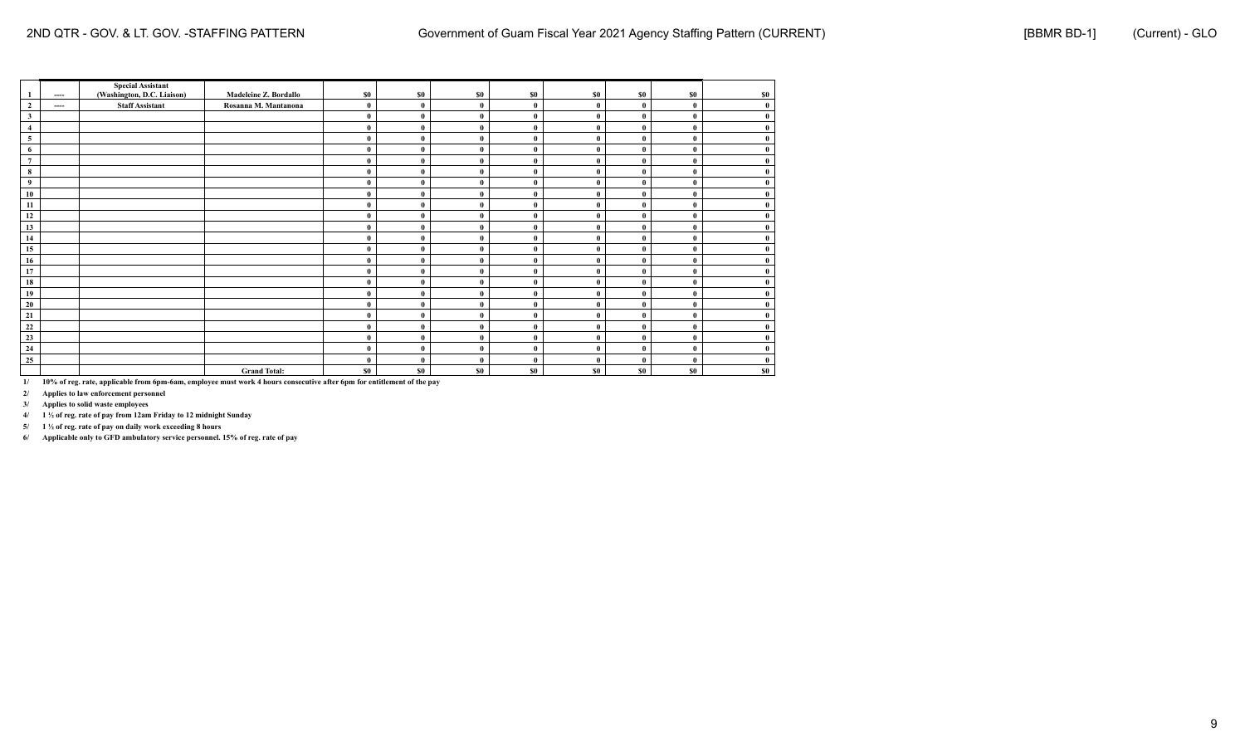|                         |          | <b>Special Assistant</b>   |                       |          |              |              |              |              |              |              |           |
|-------------------------|----------|----------------------------|-----------------------|----------|--------------|--------------|--------------|--------------|--------------|--------------|-----------|
|                         | $\cdots$ | (Washington, D.C. Liaison) | Madeleine Z. Bordallo | \$0      | \$0          | \$0          | \$0          | \$0          | \$0          | \$0          | <b>SO</b> |
| $\overline{2}$          | ----     | <b>Staff Assistant</b>     | Rosanna M. Mantanona  | $\bf{0}$ | $\bf{0}$     | $\bf{0}$     | $\theta$     | $\theta$     | $\mathbf{0}$ | $\theta$     |           |
| $\mathbf{3}$            |          |                            |                       | $\bf{0}$ | $\theta$     | $\bf{0}$     | $\theta$     | $\theta$     |              | $\mathbf{0}$ |           |
| $\overline{4}$          |          |                            |                       | $\bf{0}$ | $\mathbf{0}$ | $\bf{0}$     | $\theta$     | $\theta$     | $\mathbf{0}$ | $\mathbf{0}$ |           |
| $\overline{\mathbf{5}}$ |          |                            |                       | $\bf{0}$ | $\mathbf{0}$ | $\mathbf{0}$ | $\mathbf{0}$ | $\theta$     |              | $\mathbf{0}$ |           |
| 6                       |          |                            |                       | $\bf{0}$ | $\mathbf{0}$ | $\bf{0}$     |              | $\theta$     | $\theta$     | $\theta$     |           |
| $\overline{7}$          |          |                            |                       | $\bf{0}$ | $\theta$     | $\theta$     | $\theta$     |              | $\theta$     | $\theta$     |           |
| 8                       |          |                            |                       | $\bf{0}$ | $\mathbf{0}$ | $\bf{0}$     | $\theta$     | $\theta$     | $\theta$     | $\mathbf{0}$ |           |
| 9                       |          |                            |                       | $\bf{0}$ | $\theta$     | $\theta$     | $\theta$     | $\theta$     |              | $\mathbf{0}$ |           |
| ${\bf 10}$              |          |                            |                       | $\theta$ | $\theta$     | $\bf{0}$     | $\theta$     | $\theta$     | $\theta$     | $\mathbf{0}$ |           |
| $11\,$                  |          |                            |                       | $\bf{0}$ | $\mathbf{0}$ | $\bf{0}$     | $\theta$     | $\theta$     | $\theta$     | $\mathbf{0}$ |           |
| 12                      |          |                            |                       | $\bf{0}$ | $\theta$     | $\theta$     | $\theta$     | $\theta$     | $\theta$     | $\mathbf{0}$ |           |
| 13                      |          |                            |                       | $\bf{0}$ | $\bf{0}$     | $\bf{0}$     | $\theta$     | $\theta$     | $\mathbf{0}$ | $\mathbf{0}$ |           |
| 14                      |          |                            |                       | $\bf{0}$ | $\mathbf{0}$ | $\theta$     | $\theta$     | $\theta$     |              | $\mathbf{0}$ |           |
| 15                      |          |                            |                       | $\theta$ | $\theta$     | $\bf{0}$     |              | $\mathbf{0}$ |              | $\mathbf{0}$ |           |
| 16                      |          |                            |                       | $\bf{0}$ | $\theta$     | $\bf{0}$     | $\theta$     | $\theta$     | $\theta$     | $\mathbf{0}$ |           |
| 17                      |          |                            |                       | $\bf{0}$ | $\mathbf{0}$ | $\bf{0}$     | $\theta$     | $\theta$     | $\mathbf{0}$ | $\mathbf{0}$ |           |
| 18                      |          |                            |                       | $\bf{0}$ | $\mathbf{0}$ | $\theta$     | $\theta$     |              |              | $\theta$     |           |
| 19                      |          |                            |                       | $\bf{0}$ | $\theta$     | $\bf{0}$     | $\theta$     | $\theta$     | $\mathbf 0$  | $\theta$     |           |
| 20                      |          |                            |                       | $\bf{0}$ | $\theta$     | $\theta$     | $\theta$     | $\theta$     | $\theta$     | $\mathbf{0}$ |           |
| 21                      |          |                            |                       | $\bf{0}$ | $\theta$     | $\bf{0}$     | $\theta$     | $\theta$     | $\theta$     | $\mathbf{0}$ |           |
| 22                      |          |                            |                       | $\bf{0}$ | $\theta$     | $\theta$     | $\theta$     | $\theta$     |              | $\mathbf{0}$ |           |
| 23                      |          |                            |                       | $\bf{0}$ | $\mathbf{0}$ | $\bf{0}$     | $\mathbf{0}$ | $\bf{0}$     | $\mathbf 0$  | $\mathbf{0}$ |           |
| 24                      |          |                            |                       | $\bf{0}$ | $\mathbf{0}$ | $\bf{0}$     | $\mathbf{0}$ |              | $\theta$     | $\theta$     |           |
| 25                      |          |                            |                       | $\theta$ | $\theta$     | $\bf{0}$     | $\theta$     | $\theta$     | $\theta$     | $\theta$     |           |
|                         |          |                            | <b>Grand Total:</b>   | \$0      | \$0          | \$0          | \$0          | \$0          | \$0          | \$0          | \$0       |

**2/ Applies to law enforcement personnel**

**3/ Applies to solid waste employees**

**4/ 1 ½ of reg. rate of pay from 12am Friday to 12 midnight Sunday**

**5/ 1 ½ of reg. rate of pay on daily work exceeding 8 hours**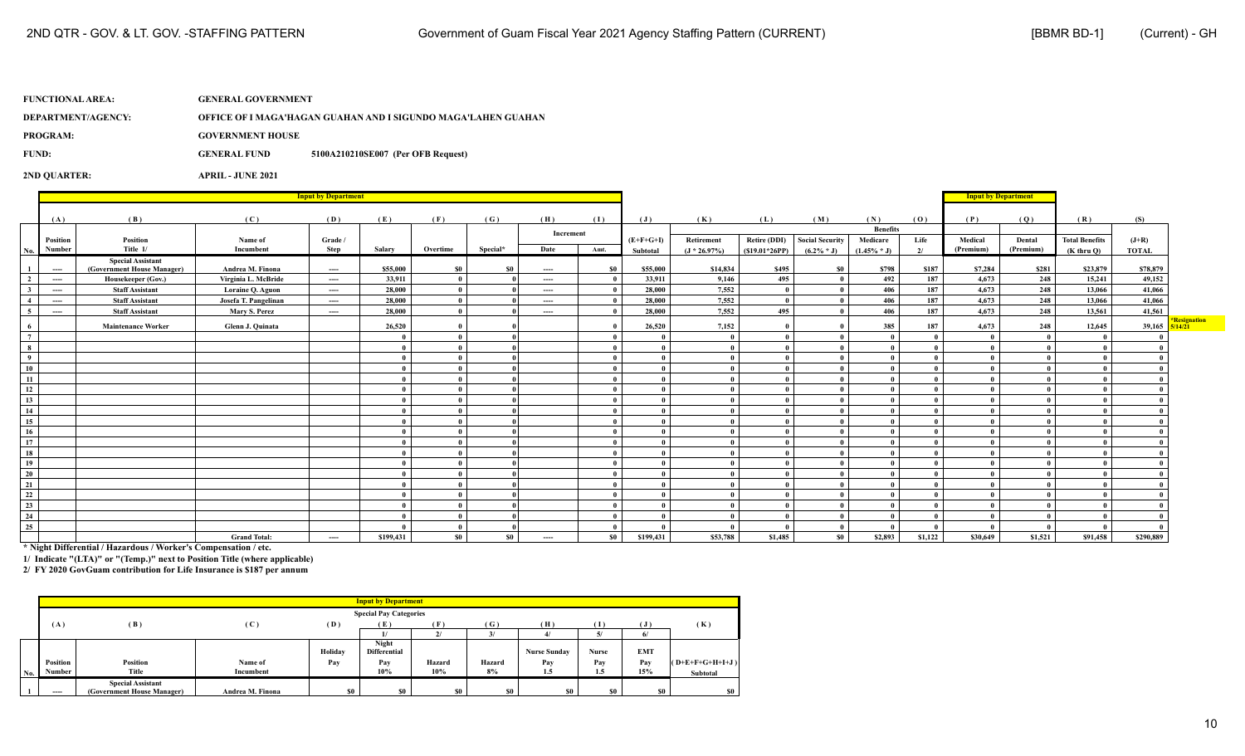| <b>FUNCTIONAL AREA:</b> | <b>GENERAL GOVERNMENT</b> |                                                               |
|-------------------------|---------------------------|---------------------------------------------------------------|
| DEPARTMENT/AGENCY:      |                           | OFFICE OF I MAGA'HAGAN GUAHAN AND I SIGUNDO MAGA'LAHEN GUAHAN |
| <b>PROGRAM:</b>         | <b>GOVERNMENT HOUSE</b>   |                                                               |
| FUND:                   | <b>GENERAL FUND</b>       | 5100A210210SE007 (Per OFB Request)                            |
| <b>2ND OUARTER:</b>     | <b>APRIL - JUNE 2021</b>  |                                                               |

**Input by Department Input by Department** (A) (B) (C) (D) (E) (F) (G) (H) (I) (J) (K) (L) (M) (N) (O) (P) (Q) (R) (S) **Increment**<br> **Increment**<br> **Interventional Contract Contract Contract Contract Contract Contract Contract Contract Contract Contract Contract Contract Contract Contract Contract Contract Contract Contract Contract Contract Position Position Name of Grade / (E+F+G+I) Retirement Retire (DDI) Social Security Medicare Life Medical Dental Total Benefits (J+R)** No. Number | Title 1/ | Incumbent | Step | Salary | Overtime | Special\* | Date | Amt. | Subtotal | (J\*26.97%) | (S19.01\*26PP) | (6.2%\*J) | 2/ | (Premium) | (Premium) | (Kthru Q) | TOTAL **(1) ---- Special Assistant**<br>(Government House Manager) (Government House Manager) | Andrea M. Finona | ---- | S55,000 | S0 | --- | S0 | S55,000 | S14,834 | S495 | S798 | S187 | S7,284 | S281 | S23,879 | S78,879 2 | --- | Housekeeper(Gov.) | Virginia L. McBride | ---- | 33,911 | 0 | 0 --- | 0 | 33,911 | 9,146 | 495 | 0 | 492 | 187 | 4,673 | 248 | 15,241 | 49,152 3 | --- | Staff Assistant | Loraine Q. Aguon | ---- | 28,000 | 0 | --- | 0 | 28,000 | 7,552 | 0 | 0 | 406 | 187 | 4,673 | 248 | 13,066 | 41,066 4 | ---- | Staff Assistant | Josefa T. Pangelinan | ---- | 28,000 | 0 | --- | 0 | 28,000 | 7,552 | 0 | 0 | 406 | 187 | 4,673 | 248 | 13,066 | 41,066 5 ] 5 [ --- | Staff Assistant | Mary S. Perez | --- | 28,000 | 0 | --- | 0 | 28,000 | 7,552 | 495 | 0 | 406 | 187 | 4,673 | 248 | 13,561 | 41,561 6 | Maintenance Worker | Glenn J. Quinata | | 26,520 | 0 | 0 | 1 | 26,520 | 7,152 | 0 | 385 | 187 | 4,673 | 248 | 12,645 | 39,165 **\*Resignation 5/14/21 (7) (0) (0) 0 (0) (0) (0) (0) (0) (0) (0) (0) (0) (0) (0) (8) (0) (0) 0 (0) (0) (0) (0) (0) (0) (0) (0) (0) (0) (0) (9) (0) (0) 0 (0) (0) (0) (0) (0) (0) (0) (0) (0) (0) (0) (10) (0) (0) 0 (0) (0) (0) (0) (0) (0) (0) (0) (0) (0) (0) (11) (0) (0) 0 (0) (0) (0) (0) (0) (0) (0) (0) (0) (0) (0) (12) (0) (0) 0 (0) (0) (0) (0) (0) (0) (0) (0) (0) (0) (0) (13) (0) (0) 0 (0) (0) (0) (0) (0) (0) (0) (0) (0) (0) (0) (14) (0) (0) 0 (0) (0) (0) (0) (0) (0) (0) (0) (0) (0) (0) (15) (0) (0) 0 (0) (0) (0) (0) (0) (0) (0) (0) (0) (0) (0) (16) (0) (0) 0 (0) (0) (0) (0) (0) (0) (0) (0) (0) (0) (0) (17) (0) (0) 0 (0) (0) (0) (0) (0) (0) (0) (0) (0) (0) (0) (18) (0) (0) 0 (0) (0) (0) (0) (0) (0) (0) (0) (0) (0) (0) (19) (0) (0) 0 (0) (0) (0) (0) (0) (0) (0) (0) (0) (0) (0) (20) (0) (0) 0 (0) (0) (0) (0) (0) (0) (0) (0) (0) (0) (0) (21) (0) (0) 0 (0) (0) (0) (0) (0) (0) (0) (0) (0) (0) (0) (22) (0) (0) 0 (0) (0) (0) (0) (0) (0) (0) (0) (0) (0) (0) (23) (0) (0) 0 (0) (0) (0) (0) (0) (0) (0) (0) (0) (0) (0) (24) (0) (0) 0 (0) (0) (0) (0) (0) (0) (0) (0) (0) (0) (0) (25) (0) (0) 0 (0) (0) (0) (0) (0) (0) (0) (0) (0) (0) (0)** Grand Total: | ---- | \$199,431 | \$0 | --- | \$0 | \$199,431 | \$53,788 | \$1,485 | \$0 | \$2,893 | \$1,122 | \$30,649 | \$1,521 | \$91,458 | \$290,889

**\* Night Differential / Hazardous / Worker's Compensation / etc.**

**1/ Indicate "(LTA)" or "(Temp.)" next to Position Title (where applicable)**

|     |          |                            |                                |         | <b>Input by Department</b>    |              |               |                     |                |            |                   |
|-----|----------|----------------------------|--------------------------------|---------|-------------------------------|--------------|---------------|---------------------|----------------|------------|-------------------|
|     |          |                            |                                |         | <b>Special Pay Categories</b> |              |               |                     |                |            |                   |
|     | (A)      | (B)                        | $\left( \, {\bf C} \, \right)$ | (D)     | (E)                           | (F)          | (G)           | (H)                 | $(\mathbf{I})$ | ิง         | (K)               |
|     |          |                            |                                |         |                               | $\mathbf{v}$ | $\frac{3}{2}$ |                     | 5.             |            |                   |
|     |          |                            |                                | Holiday | Night<br><b>Differential</b>  |              |               | <b>Nurse Sunday</b> | <b>Nurse</b>   | <b>EMT</b> |                   |
|     | Position | Position                   | Name of                        | Pay     | Pay                           | Hazard       | Hazard        | Pay                 | Pay            | Pay        | $(O+E+F+G+H+I+J)$ |
| No. | Number   | Title                      | Incumbent                      |         | 10%                           | 10%          | 8%            | 1.5                 | 1.5            | 15%        | Subtotal          |
|     |          | <b>Special Assistant</b>   |                                |         |                               |              |               |                     |                |            |                   |
|     | $---$    | (Government House Manager) | Andrea M. Finona               | \$0     | \$0                           | S0           | \$0           | \$0                 | S <sub>0</sub> | <b>SO</b>  | \$0               |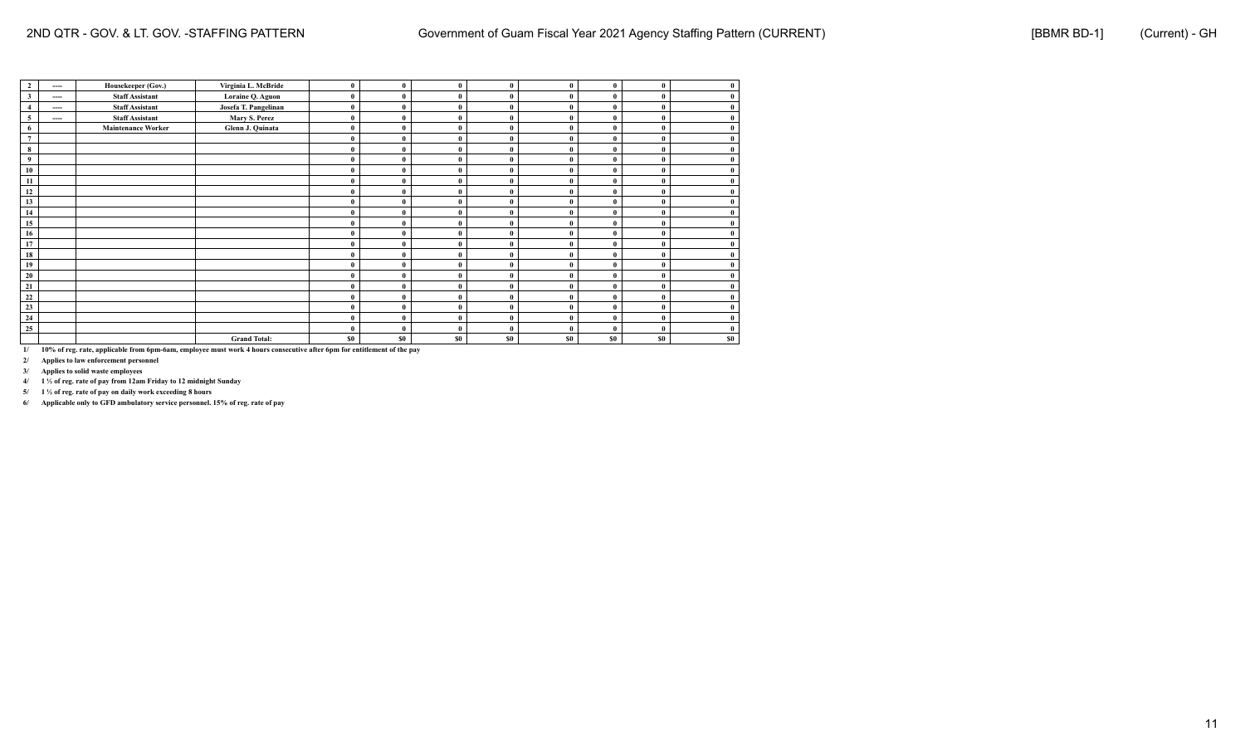| $\overline{2}$   | ----  | Housekeeper (Gov.)        | Virginia L. McBride  | $\bf{0}$ | $\mathbf{0}$ | $\mathbf{0}$ | 0            | $\mathbf{0}$ | $\mathbf{0}$   | $\mathbf{0}$ | $\bf{0}$     |
|------------------|-------|---------------------------|----------------------|----------|--------------|--------------|--------------|--------------|----------------|--------------|--------------|
| $\mathbf{3}$     | $---$ | <b>Staff Assistant</b>    | Loraine Q. Aguon     | $\bf{0}$ | $\mathbf{0}$ | $\mathbf{0}$ |              | $\mathbf{0}$ | $\mathbf{0}$   | $\mathbf{0}$ | $\bf{0}$     |
| $\overline{4}$   | $---$ | <b>Staff Assistant</b>    | Josefa T. Pangelinan | $\bf{0}$ | $\mathbf{0}$ | $\mathbf{0}$ |              | $\theta$     | $\mathbf{0}$   | $\mathbf{0}$ | $\bf{0}$     |
| $\overline{5}$   | $---$ | <b>Staff Assistant</b>    | Mary S. Perez        | $\bf{0}$ | $\mathbf{0}$ | 0            |              | $\mathbf{0}$ | $\theta$       | $\mathbf{0}$ | $\bf{0}$     |
| 6                |       | <b>Maintenance Worker</b> | Glenn J. Quinata     | $\bf{0}$ | $\mathbf{0}$ | $\mathbf{0}$ |              | $\mathbf{0}$ | $\mathbf{0}$   | $\mathbf{0}$ | $\bf{0}$     |
| $\boldsymbol{7}$ |       |                           |                      | $\bf{0}$ | $\mathbf{0}$ | $\bf{0}$     |              | $\bf{0}$     | $\bf{0}$       |              |              |
| $\bf8$           |       |                           |                      | $\bf{0}$ | $\mathbf{0}$ | $\mathbf{0}$ |              | $\mathbf{0}$ | $\bf{0}$       | $\mathbf{0}$ | $\bf{0}$     |
| 9                |       |                           |                      | $\bf{0}$ | $\mathbf{0}$ | $\mathbf{0}$ |              | $\mathbf{0}$ | $\theta$       | $\mathbf{0}$ |              |
| 10               |       |                           |                      | $\bf{0}$ | $\theta$     | $\theta$     |              | $\theta$     | $\theta$       |              | $\mathbf{0}$ |
| 11               |       |                           |                      | $\bf{0}$ | $\theta$     | $\mathbf{0}$ |              | $\mathbf{0}$ | $\theta$       | $\theta$     |              |
| 12               |       |                           |                      | $\bf{0}$ | $\theta$     | $\Omega$     |              | $\theta$     | $\theta$       |              | $\mathbf{0}$ |
| 13               |       |                           |                      | $\bf{0}$ | $\mathbf{0}$ | $\mathbf{0}$ | $\mathbf{0}$ | $\mathbf{0}$ | $\theta$       | $\mathbf{0}$ | $\mathbf{0}$ |
| 14               |       |                           |                      | $\bf{0}$ | $\theta$     | $\mathbf{0}$ |              | $\mathbf{0}$ | $\theta$       | O            | $\bf{0}$     |
| 15               |       |                           |                      | $\bf{0}$ | $\theta$     | $\mathbf{0}$ | $\mathbf{0}$ | $\mathbf{0}$ | $\bf{0}$       | $\mathbf{0}$ | $\bf{0}$     |
| 16               |       |                           |                      | $\bf{0}$ | $\theta$     | 0            |              | $\theta$     | $\theta$       |              | $\bf{0}$     |
| 17               |       |                           |                      | $\bf{0}$ | $\theta$     | $\mathbf{0}$ | $\theta$     | $\mathbf{0}$ | $\theta$       | $\mathbf{0}$ | $\bf{0}$     |
| ${\bf 18}$       |       |                           |                      | $\bf{0}$ | $\theta$     | 0            |              | $\theta$     | $\theta$       |              | $\bf{0}$     |
| 19               |       |                           |                      | $\bf{0}$ | $\theta$     | $\mathbf{0}$ | $\mathbf{0}$ | $\theta$     | $\theta$       |              | $\bf{0}$     |
| 20               |       |                           |                      | $\bf{0}$ | $\mathbf{0}$ | $\mathbf{0}$ |              | $\theta$     | $\theta$       |              | $\bf{0}$     |
| 21               |       |                           |                      | $\bf{0}$ | $\mathbf{0}$ | $\mathbf{0}$ |              | $\theta$     | $\theta$       |              | $\bf{0}$     |
| 22               |       |                           |                      | $\bf{0}$ | $\mathbf{0}$ | $\mathbf{0}$ |              | $\theta$     | $\theta$       |              | $\bf{0}$     |
| 23               |       |                           |                      | $\bf{0}$ | $\theta$     | $\mathbf{0}$ |              | $\theta$     | $\theta$       |              | $\bf{0}$     |
| 24               |       |                           |                      | $\bf{0}$ | $\theta$     | $\mathbf{0}$ |              | $\theta$     | $\theta$       |              | $\bf{0}$     |
| $\frac{25}{25}$  |       |                           |                      | $\bf{0}$ | $\mathbf{0}$ | $\mathbf{0}$ |              | $\mathbf{0}$ | $\theta$       | $\mathbf{0}$ | $\bf{0}$     |
|                  |       |                           | <b>Grand Total:</b>  | \$0      | \$0          | \$0          | \$0          | \$0          | S <sub>0</sub> | \$0          | \$0          |

**2/ Applies to law enforcement personnel**

**3/ Applies to solid waste employees**

**4/ 1 ½ of reg. rate of pay from 12am Friday to 12 midnight Sunday**

**5/ 1 ½ of reg. rate of pay on daily work exceeding 8 hours**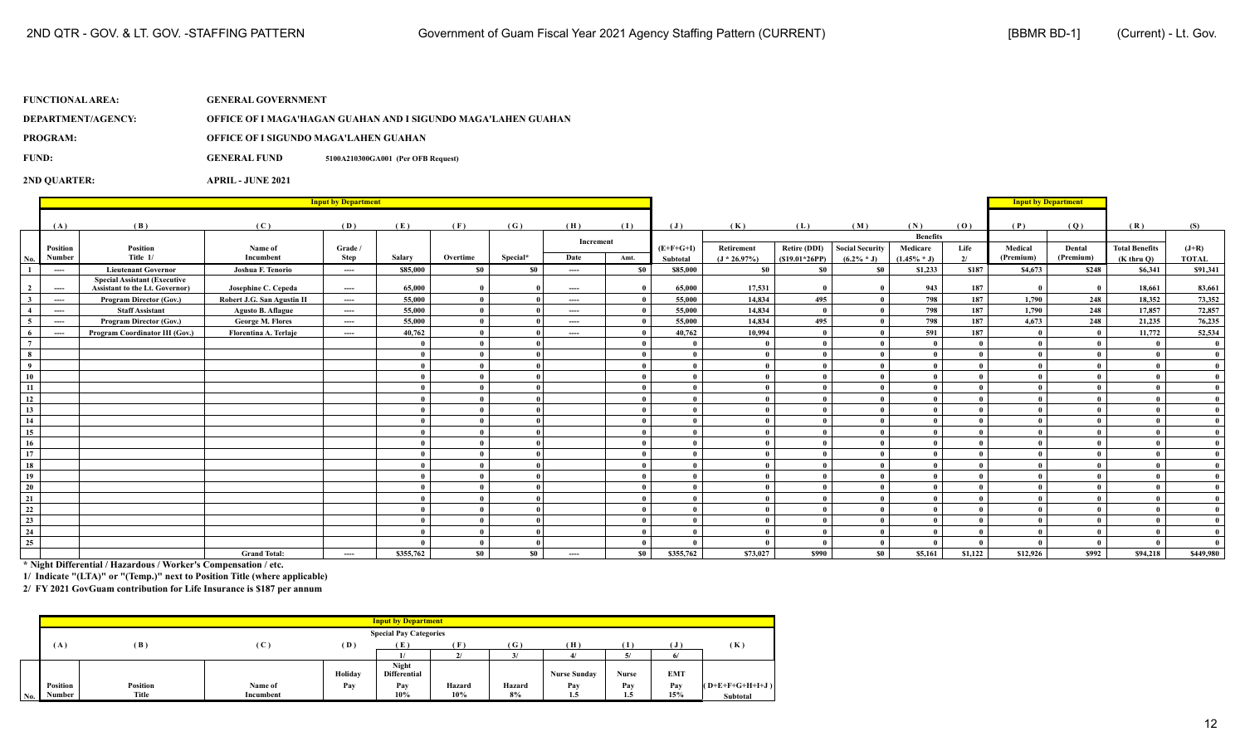**DEPARTMENT/AGENCY: OFFICE OF I MAGA'HAGAN GUAHAN AND I SIGUNDO MAGA'LAHEN GUAHAN**

**PROGRAM: OFFICE OF I SIGUNDO MAGA'LAHEN GUAHAN**

**FUND: GENERAL FUND 5100A210300GA001 (Per OFB Request)**

**2ND QUARTER: APRIL - JUNE 2021**

|                         |          |                                                                       |                            | <b>Input by Department</b> |           |              |          |           |       |             |                 |                 |                        |                             |         | <b>Input by Department</b> |           |                       |              |
|-------------------------|----------|-----------------------------------------------------------------------|----------------------------|----------------------------|-----------|--------------|----------|-----------|-------|-------------|-----------------|-----------------|------------------------|-----------------------------|---------|----------------------------|-----------|-----------------------|--------------|
|                         | (A)      | (B)                                                                   | (C)                        | (D)                        | (E)       | (F)          | (G)      | (H)       | (I)   | (J)         | (K)             | (L)             | (M)                    | (N)                         | (0)     | (P)                        | (Q)       | (R)                   | (S)          |
|                         | Position | Position                                                              | Name of                    | Grade /                    |           |              |          | Increment |       | $(E+F+G+I)$ | Retirement      | Retire (DDI)    | <b>Social Security</b> | <b>Benefits</b><br>Medicare | Life    | Medical                    | Dental    | <b>Total Benefits</b> | $(J+R)$      |
| No.                     | Number   | Title 1/                                                              | Incumbent                  | Step                       | Salary    | Overtime     | Special* | Date      | Amt.  | Subtotal    | $(J * 26.97\%)$ | $(S19.01*26PP)$ | $(6.2\% * J)$          | $(1.45\% * J)$              | 2/      | (Premium)                  | (Premium) | $(K$ thru $O$ )       | <b>TOTAL</b> |
| $\overline{1}$          | $---$    | <b>Lieutenant Governor</b>                                            | Joshua F. Tenorio          | $---$                      | \$85,000  | - \$0        | - \$0    | $---$     | - \$0 | \$85,000    | - \$0           | - \$0           | - \$0                  | \$1,233                     | \$187   | \$4,673                    | \$248     | \$6,341               | \$91,341     |
| $\overline{2}$          | $\cdots$ | <b>Special Assistant (Executive</b><br>Assistant to the Lt. Governor) | Josephine C. Cepeda        | $\cdots$                   | 65,000    | $\theta$     |          | ----      |       | 65,000      | 17,531          |                 |                        | 943                         | 187     |                            |           | 18,661                | 83,661       |
| $\overline{\mathbf{3}}$ | $\cdots$ | Program Director (Gov.)                                               | Robert J.G. San Agustin II | ----                       | 55,000    | $\mathbf{0}$ |          | ----      |       | 55,000      | 14,834          | 495             | $\mathbf{0}$           | 798                         | 187     | 1,790                      | 248       | 18,352                | 73,352       |
| $\overline{4}$          | $\cdots$ | <b>Staff Assistant</b>                                                | <b>Agusto B. Aflague</b>   | $\cdots$                   | 55,000    | $\mathbf{0}$ |          | $\cdots$  |       | 55,000      | 14,834          |                 |                        | 798                         | 187     | 1,790                      | 248       | 17,857                | 72,857       |
| 5 <sup>5</sup>          | $\cdots$ | Program Director (Gov.)                                               | <b>George M. Flores</b>    | $---$                      | 55,000    | $\mathbf{0}$ |          | ----      |       | 55,000      | 14,834          | 495             |                        | 798                         | 187     | 4,673                      | 248       | 21,235                | 76,235       |
| 6                       | $---$    | Program Coordinator III (Gov.)                                        | Florentina A. Terlaje      | $---$                      | 40,762    | $\mathbf{0}$ |          | ----      |       | 40,762      | 10,994          |                 |                        | 591                         | 187     |                            |           | 11,772                | 52,534       |
| $7\overline{ }$         |          |                                                                       |                            |                            |           | $\theta$     |          |           |       |             | $\theta$        |                 | $\mathbf{0}$           |                             |         |                            |           | $\overline{ }$        | $\bf{0}$     |
| $\bf8$                  |          |                                                                       |                            |                            |           | $\theta$     |          |           |       |             | $\theta$        |                 | $\mathbf{0}$           |                             |         |                            |           |                       | $\bf{0}$     |
| $\overline{9}$          |          |                                                                       |                            |                            |           | $\theta$     |          |           |       |             | $\theta$        |                 | $\mathbf{0}$           |                             |         |                            |           |                       | $\mathbf{0}$ |
| $\overline{10}$         |          |                                                                       |                            |                            |           | - 0          |          |           |       |             |                 |                 | $\mathbf{0}$           |                             |         |                            |           |                       | $\bf{0}$     |
| 11                      |          |                                                                       |                            |                            |           | $\theta$     |          |           |       |             | $\theta$        |                 | $\theta$               |                             |         |                            |           |                       | $\mathbf{0}$ |
| 12                      |          |                                                                       |                            |                            |           | $\mathbf{0}$ |          |           |       |             | $\mathbf{0}$    |                 | $\mathbf{0}$           |                             |         |                            |           |                       | $\theta$     |
| $\overline{13}$         |          |                                                                       |                            |                            |           | $\mathbf{0}$ |          |           |       |             | $\theta$        |                 | $\mathbf{0}$           |                             |         |                            |           |                       | $\theta$     |
| 14                      |          |                                                                       |                            |                            |           | $\mathbf{0}$ |          |           |       |             | $\mathbf{0}$    |                 | $\mathbf{0}$           |                             |         |                            |           |                       | $\mathbf{0}$ |
| 15                      |          |                                                                       |                            |                            |           | $\mathbf{0}$ |          |           |       |             | $\theta$        |                 | $\mathbf{0}$           |                             |         |                            |           |                       | $\mathbf{0}$ |
| 16                      |          |                                                                       |                            |                            |           | $\mathbf{0}$ |          |           |       |             | $\theta$        |                 | $\mathbf{0}$           |                             |         |                            |           |                       | $\mathbf{0}$ |
| 17                      |          |                                                                       |                            |                            |           | - 0          |          |           |       |             |                 |                 | $\mathbf{0}$           |                             |         |                            |           |                       | $\bf{0}$     |
| 18                      |          |                                                                       |                            |                            |           | $\theta$     |          |           |       |             |                 |                 | $\mathbf{0}$           |                             |         |                            |           |                       | $\bf{0}$     |
| $\overline{19}$         |          |                                                                       |                            |                            |           | $\mathbf{0}$ |          |           |       |             | $\theta$        |                 | $\mathbf{0}$           |                             |         |                            |           |                       | $\bf{0}$     |
| $\overline{20}$         |          |                                                                       |                            |                            |           | $\mathbf{0}$ |          |           |       |             | $\theta$        |                 | $\mathbf{0}$           |                             |         |                            |           |                       | $\mathbf{0}$ |
| $\overline{21}$         |          |                                                                       |                            |                            |           | $\mathbf{0}$ |          |           |       |             | $\theta$        |                 | $\mathbf{0}$           |                             |         |                            |           |                       | $\mathbf{0}$ |
| 22                      |          |                                                                       |                            |                            |           | $\mathbf{0}$ |          |           |       |             | $\theta$        |                 | $\theta$               |                             |         |                            |           |                       | $\mathbf{0}$ |
| $\overline{23}$         |          |                                                                       |                            |                            |           | $\mathbf{0}$ |          |           |       |             | $\mathbf{0}$    |                 | $\mathbf{0}$           |                             |         |                            |           |                       | $\mathbf{0}$ |
| 24                      |          |                                                                       |                            |                            |           | $\mathbf{0}$ |          |           |       |             | $\theta$        |                 | $\mathbf{0}$           |                             |         |                            |           |                       | $\bf{0}$     |
| $\overline{25}$         |          |                                                                       |                            |                            |           | $\mathbf{0}$ |          |           |       |             |                 |                 | $\mathbf{0}$           |                             |         |                            | $\theta$  | $\mathbf{a}$          | $\mathbf{0}$ |
|                         |          |                                                                       | <b>Grand Total:</b>        | ----                       | \$355,762 | \$0          | $\$0$    | ----      | \$0   | \$355,762   | \$73,027        | <b>\$990</b>    | \$0                    | \$5,161                     | \$1,122 | \$12,926                   | \$992     | \$94,218              | \$449,980    |

**\* Night Differential / Hazardous / Worker's Compensation / etc.**

**1/ Indicate "(LTA)" or "(Temp.)" next to Position Title (where applicable)**

|     |          |                 |                            |         | <b>Input by Department</b>          |              |        |                     |          |            |                   |
|-----|----------|-----------------|----------------------------|---------|-------------------------------------|--------------|--------|---------------------|----------|------------|-------------------|
|     |          |                 |                            |         | <b>Special Pay Categories</b>       |              |        |                     |          |            |                   |
|     | (A)      | (B)             | $\left( \mathbf{C}\right)$ | (D)     | (E)                                 | ſF           | (G)    | (H)                 |          |            | (K)               |
|     |          |                 |                            |         |                                     | $\mathbf{v}$ |        |                     | 51<br>J. |            |                   |
|     |          |                 |                            | Holiday | <b>Night</b><br><b>Differential</b> |              |        | <b>Nurse Sunday</b> | Nurse    | <b>EMT</b> |                   |
|     | Position | <b>Position</b> | Name of                    | Pay     | Pay                                 | Hazard       | Hazard | Pav                 | Pay      | Pav        | $(O+E+F+G+H+I+J)$ |
| No. | Number   | Title           | Incumbent                  |         | 10%                                 | 10%          | 8%     | 1.5                 | 1.5      | 15%        | Subtotal          |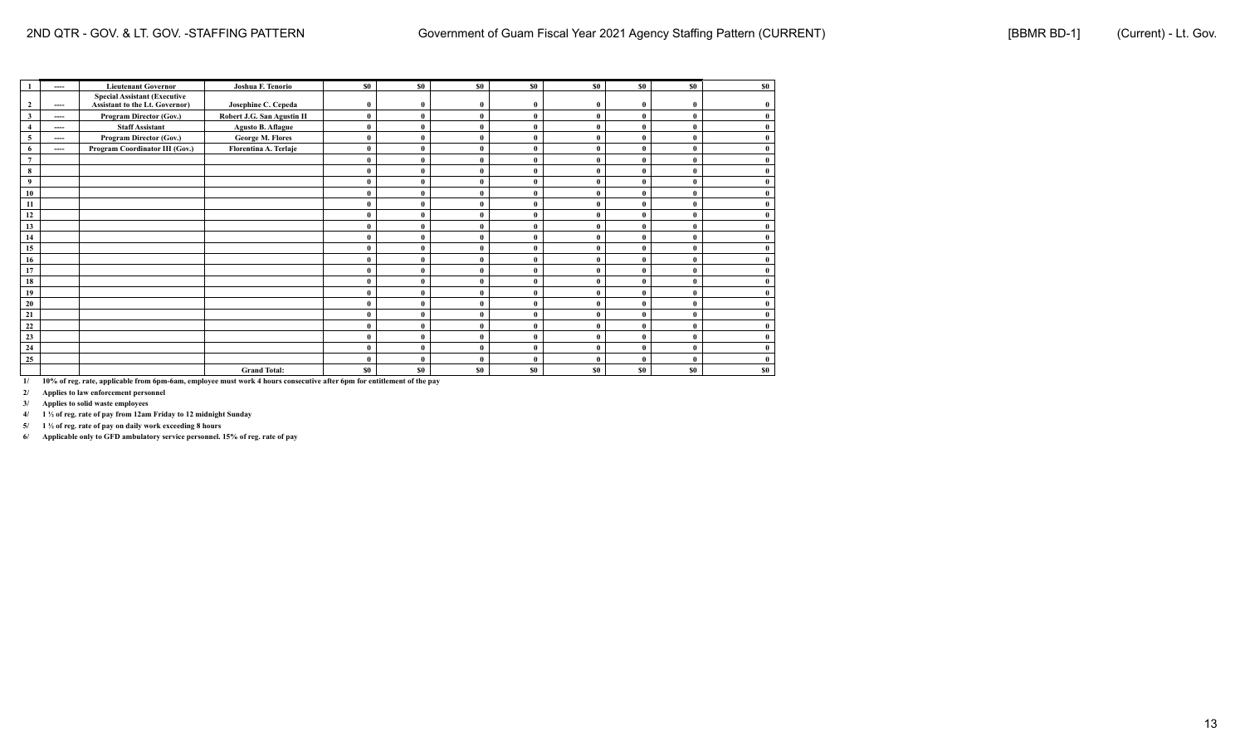|                         | ----     | <b>Lieutenant Governor</b>            | Joshua F. Tenorio          | \$0          | <b>SO</b>   | \$0      | \$0       | \$0      | \$0      | \$0          | \$0 |
|-------------------------|----------|---------------------------------------|----------------------------|--------------|-------------|----------|-----------|----------|----------|--------------|-----|
|                         |          | <b>Special Assistant (Executive</b>   |                            |              |             |          |           |          |          |              |     |
| 2                       | $\cdots$ | <b>Assistant to the Lt. Governor)</b> | Josephine C. Cepeda        | $\bf{0}$     | $\mathbf n$ |          | $\theta$  |          | $\theta$ | $\mathbf{0}$ |     |
| $\overline{\mathbf{3}}$ | $\cdots$ | <b>Program Director (Gov.)</b>        | Robert J.G. San Agustin II | $\bf{0}$     | 0           | $\theta$ | $\theta$  |          | $\theta$ | $\theta$     |     |
|                         | $\cdots$ | <b>Staff Assistant</b>                | <b>Agusto B. Aflague</b>   | $\bf{0}$     |             |          | $\theta$  |          |          | $\theta$     |     |
| 5                       | $\cdots$ | Program Director (Gov.)               | <b>George M. Flores</b>    | $\bf{0}$     | $\theta$    | $\theta$ | $\theta$  |          | $\theta$ | $\theta$     |     |
| 6                       | ----     | Program Coordinator III (Gov.)        | Florentina A. Terlaje      | $\bf{0}$     | $\theta$    |          | $\Omega$  |          |          | $\theta$     |     |
| $7\phantom{.0}$         |          |                                       |                            | $\bf{0}$     | $\theta$    |          | $\theta$  |          |          | $\theta$     |     |
| 8                       |          |                                       |                            | $\bf{0}$     | 0           |          | $\theta$  |          |          | $\theta$     |     |
| 9                       |          |                                       |                            | $\theta$     | 0           |          | $\theta$  |          |          | $\theta$     |     |
| 10                      |          |                                       |                            | $\theta$     | $\theta$    | $\theta$ | $\theta$  |          | $\theta$ | $\theta$     |     |
| 11                      |          |                                       |                            | $\theta$     | $\Omega$    |          | $\theta$  |          |          | $\theta$     |     |
| 12                      |          |                                       |                            | $\bf{0}$     | $\Omega$    |          | $\theta$  |          |          | $\theta$     |     |
| 13                      |          |                                       |                            | $\mathbf{0}$ | 0           |          |           |          |          | $\theta$     |     |
| 14                      |          |                                       |                            | $\theta$     |             |          |           |          |          | $\theta$     |     |
| 15                      |          |                                       |                            | $\theta$     | $\theta$    | $\theta$ | $\theta$  |          | $\theta$ | $\theta$     |     |
| 16                      |          |                                       |                            | $\theta$     | $\theta$    |          | $\theta$  |          |          | $\theta$     |     |
| 17                      |          |                                       |                            | $\theta$     | $\theta$    |          | $\theta$  |          |          | $\theta$     |     |
| 18                      |          |                                       |                            | $\theta$     | $\theta$    |          | $\theta$  |          |          | $\theta$     |     |
| 19                      |          |                                       |                            | $\bf{0}$     |             |          |           |          |          | $\theta$     |     |
| 20                      |          |                                       |                            | $\theta$     | $\theta$    | $\theta$ | $\theta$  |          | $\theta$ | $\theta$     |     |
| 21                      |          |                                       |                            | $\mathbf 0$  | $\theta$    |          | $\Omega$  |          |          | $\theta$     |     |
| 22                      |          |                                       |                            | $\theta$     | $\theta$    | $\theta$ | $\theta$  | $\theta$ | $\theta$ | $\theta$     |     |
| 23                      |          |                                       |                            | $\mathbf{0}$ | $\theta$    |          | $\theta$  |          |          | $\theta$     |     |
| 24                      |          |                                       |                            | $\bf{0}$     |             | $\theta$ | $\theta$  |          | $\theta$ | $\theta$     |     |
| 25                      |          |                                       |                            | $\theta$     | $\theta$    | $\theta$ | $\theta$  |          | $\theta$ | $\theta$     |     |
|                         |          |                                       | <b>Grand Total:</b>        | \$0          | \$0\$       | \$0      | <b>SO</b> | \$0      | \$0      | \$0          | \$0 |

**2/ Applies to law enforcement personnel**

**3/ Applies to solid waste employees**

**4/ 1 ½ of reg. rate of pay from 12am Friday to 12 midnight Sunday**

**5/ 1 ½ of reg. rate of pay on daily work exceeding 8 hours**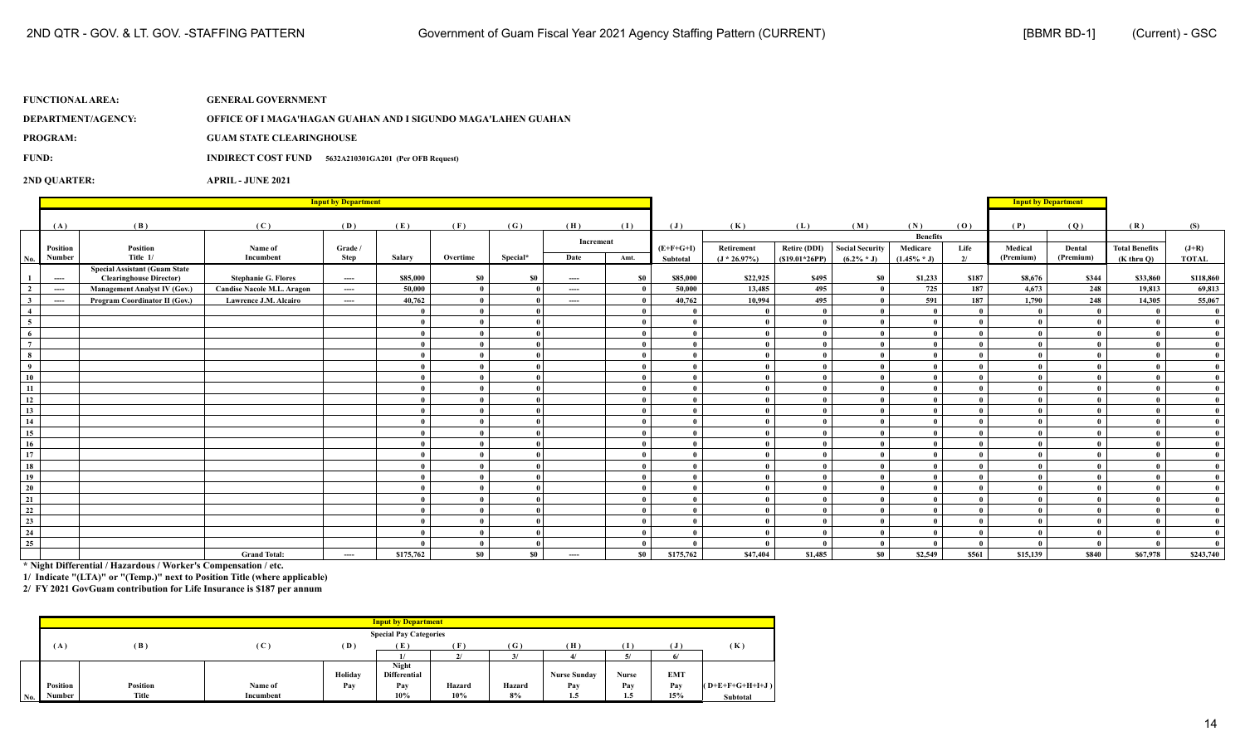**DEPARTMENT/AGENCY: OFFICE OF I MAGA'HAGAN GUAHAN AND I SIGUNDO MAGA'LAHEN GUAHAN**

**PROGRAM: GUAM STATE CLEARINGHOUSE**

**FUND: INDIRECT COST FUND 5632A210301GA201 (Per OFB Request)**

**2ND QUARTER: APRIL - JUNE 2021**

|                 |                                          |                                      |                                   | <b>Input by Department</b> |           |              |          |           |          |                |                |                 |                        |                             |          | <b>Input by Department</b> |           |                       |              |
|-----------------|------------------------------------------|--------------------------------------|-----------------------------------|----------------------------|-----------|--------------|----------|-----------|----------|----------------|----------------|-----------------|------------------------|-----------------------------|----------|----------------------------|-----------|-----------------------|--------------|
|                 |                                          |                                      |                                   |                            |           |              |          |           |          |                |                |                 |                        |                             |          |                            |           |                       |              |
|                 | (A)                                      | (B)                                  | (C)                               | (D)                        | (E)       | (F)          | (G)      | (H)       | (1)      | $(\mathbf{J})$ | (K)            | (L)             | (M)                    | (N)                         | (0)      | (P)                        | (Q)       | (R)                   | (S)          |
|                 | Position                                 | Position                             | Name of                           | Grade /                    |           |              |          | Increment |          | $(E+F+G+I)$    | Retirement     | Retire (DDI)    | <b>Social Security</b> | <b>Benefits</b><br>Medicare | Life     | Medical                    | Dental    | <b>Total Benefits</b> | $(J+R)$      |
| No. I           | Number                                   | Title 1/                             | Incumbent                         | Step                       | Salary    | Overtime     | Special* | Date      | Amt.     | Subtotal       | $(J * 26.97%)$ | $(S19.01*26PP)$ | $(6.2\% * J)$          | $(1.45\% * J)$              | 2/       | (Premium)                  | (Premium) | $(K$ thru $O$ )       | <b>TOTAL</b> |
|                 |                                          | <b>Special Assistant (Guam State</b> |                                   |                            |           |              |          |           |          |                |                |                 |                        |                             |          |                            |           |                       |              |
| $\mathbf{1}$    | $\cdots$                                 | <b>Clearinghouse Director)</b>       | <b>Stephanie G. Flores</b>        | $\cdots$                   | \$85,000  | \$0          | \$0      | $---$     | \$0      | \$85,000       | \$22,925       | \$495           | \$0                    | \$1,233                     | \$187    | \$8,676                    | \$344     | \$33,860              | \$118,860    |
| $\overline{2}$  | $\cdots$                                 | <b>Management Analyst IV (Gov.)</b>  | <b>Candise Nacole M.L. Aragon</b> | ----                       | 50,000    | $\mathbf{0}$ |          | ----      |          | 50,000         | 13,485         | 495             |                        | 725                         | 187      | 4,673                      | 248       | 19,813                | 69,813       |
| $\mathbf{3}$    | $\hspace{0.05cm} \ldots \hspace{0.05cm}$ | Program Coordinator II (Gov.)        | Lawrence J.M. Alcairo             | ----                       | 40,762    | $\mathbf{0}$ |          | ----      |          | 40,762         | 10,994         | 495             | $\theta$               | 591                         | 187      | 1,790                      | 248       | 14,305                | 55,067       |
| $\overline{4}$  |                                          |                                      |                                   |                            |           | $\theta$     |          |           |          |                |                |                 |                        |                             | $\theta$ |                            |           |                       | $\mathbf{0}$ |
| 5 <sub>5</sub>  |                                          |                                      |                                   |                            |           | - 0          |          |           |          |                |                |                 | $\mathbf{0}$           |                             | $\theta$ |                            |           |                       |              |
| $\overline{6}$  |                                          |                                      |                                   |                            |           |              |          |           |          |                |                |                 |                        |                             |          |                            |           |                       |              |
| $\overline{7}$  |                                          |                                      |                                   |                            |           |              |          |           |          |                |                |                 | $\theta$               |                             |          |                            |           |                       |              |
| 8               |                                          |                                      |                                   |                            |           |              |          |           |          |                |                |                 | $\mathbf{0}$           |                             |          |                            |           |                       |              |
| $\overline{9}$  |                                          |                                      |                                   |                            |           |              |          |           |          |                |                |                 |                        |                             |          |                            |           |                       |              |
| 10              |                                          |                                      |                                   |                            |           |              |          |           |          |                |                |                 |                        |                             |          |                            |           |                       |              |
| 11              |                                          |                                      |                                   |                            |           |              |          |           |          |                |                |                 |                        |                             | $\theta$ |                            |           |                       |              |
| 12              |                                          |                                      |                                   |                            |           | $\theta$     |          |           |          |                |                |                 |                        |                             | $\theta$ |                            |           |                       |              |
| 13              |                                          |                                      |                                   |                            |           |              |          |           |          |                |                |                 |                        |                             |          |                            |           |                       |              |
| 14              |                                          |                                      |                                   |                            |           | $\theta$     |          |           |          |                |                |                 | $\mathbf{0}$           |                             | $\theta$ |                            |           |                       |              |
| 15              |                                          |                                      |                                   |                            |           | $\theta$     |          |           | $\theta$ |                |                |                 | $\theta$               |                             | $\theta$ |                            |           |                       |              |
| 16              |                                          |                                      |                                   |                            |           | $\theta$     |          |           | $\theta$ |                |                |                 | $\theta$               |                             |          |                            |           |                       |              |
| 17              |                                          |                                      |                                   |                            |           |              |          |           |          |                |                |                 |                        |                             |          |                            |           |                       |              |
| 18              |                                          |                                      |                                   |                            |           |              |          |           |          |                |                |                 |                        |                             |          |                            |           |                       |              |
| 19              |                                          |                                      |                                   |                            |           |              |          |           |          |                |                |                 |                        |                             |          |                            |           |                       |              |
| $20\degree$     |                                          |                                      |                                   |                            |           |              |          |           |          |                |                |                 |                        |                             |          |                            |           |                       |              |
| 21              |                                          |                                      |                                   |                            |           |              |          |           |          |                |                |                 |                        |                             |          |                            |           |                       |              |
| 22              |                                          |                                      |                                   |                            |           | $\theta$     |          |           |          |                |                |                 |                        |                             | $\theta$ |                            |           |                       |              |
| 23              |                                          |                                      |                                   |                            |           | $\mathbf{0}$ |          |           | - 0      |                |                |                 | $\mathbf{0}$           |                             | $\theta$ |                            |           |                       |              |
| 24              |                                          |                                      |                                   |                            |           | $\theta$     |          |           |          |                |                |                 |                        |                             | $\theta$ |                            |           |                       |              |
| $\overline{25}$ |                                          |                                      |                                   |                            |           | $\bf{0}$     |          |           | $\theta$ |                |                |                 | $\mathbf{0}$           |                             | $\theta$ |                            | $\Omega$  |                       |              |
|                 |                                          |                                      | <b>Grand Total:</b>               | ----                       | \$175,762 | \$0          | \$0      | $\cdots$  | \$0      | \$175,762      | \$47,404       | \$1,485         | \$0                    | \$2,549                     | \$561    | \$15,139                   | \$840     | \$67,978              | \$243,740    |

**\* Night Differential / Hazardous / Worker's Compensation / etc.**

**1/ Indicate "(LTA)" or "(Temp.)" next to Position Title (where applicable)**

|     | <b>Input by Department</b>    |          |                |         |                     |           |              |                     |       |            |                   |
|-----|-------------------------------|----------|----------------|---------|---------------------|-----------|--------------|---------------------|-------|------------|-------------------|
|     | <b>Special Pay Categories</b> |          |                |         |                     |           |              |                     |       |            |                   |
|     | (A)                           | (B)      | $(\mathbf{C})$ | (D)     | (E)                 | Έ         | $\mathbf{G}$ | (H)                 | T     |            | (K)               |
|     |                               |          |                |         |                     | $\bullet$ | 3/           |                     | v.    |            |                   |
|     |                               |          |                |         | Night               |           |              |                     |       |            |                   |
|     |                               |          |                | Holiday | <b>Differential</b> |           |              | <b>Nurse Sunday</b> | Nurse | <b>EMT</b> |                   |
|     | Position                      | Position | Name of        | Pay     | Pay                 | Hazard    | Hazard       | Pay                 | Pay   | Pav        | $(O+E+F+G+H+I+J)$ |
| No. | Number                        | Title    | Incumbent      |         | 10%                 | 10%       | 8%           | 1.5                 | 1.5   | 15%        | <b>Subtotal</b>   |